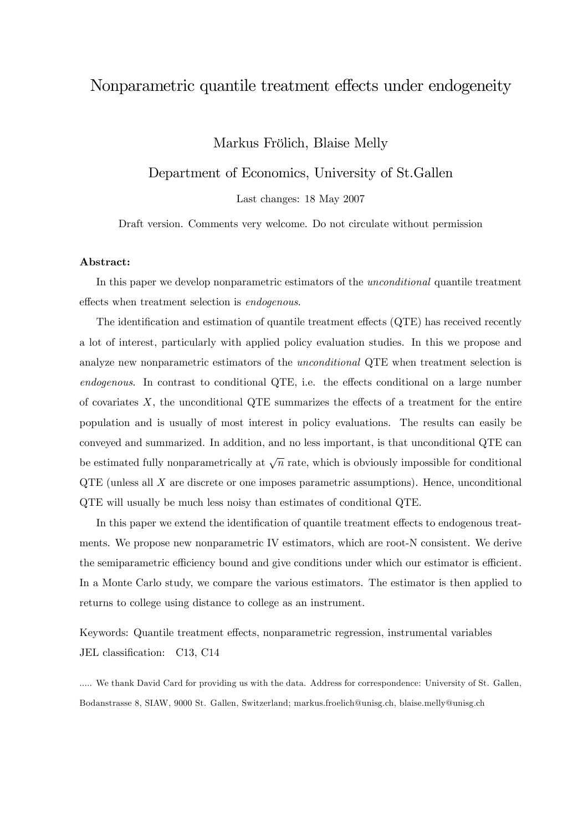# Nonparametric quantile treatment effects under endogeneity

Markus Frölich, Blaise Melly

Department of Economics, University of St.Gallen

Last changes: 18 May 2007

Draft version. Comments very welcome. Do not circulate without permission

#### Abstract:

In this paper we develop nonparametric estimators of the *unconditional* quantile treatment effects when treatment selection is *endogenous*.

The identification and estimation of quantile treatment effects  $(QTE)$  has received recently a lot of interest, particularly with applied policy evaluation studies. In this we propose and analyze new nonparametric estimators of the unconditional QTE when treatment selection is  $endogenous.$  In contrast to conditional QTE, i.e. the effects conditional on a large number of covariates  $X$ , the unconditional QTE summarizes the effects of a treatment for the entire population and is usually of most interest in policy evaluations. The results can easily be conveyed and summarized. In addition, and no less important, is that unconditional QTE can be estimated fully nonparametrically at  $\sqrt{n}$  rate, which is obviously impossible for conditional QTE (unless all X are discrete or one imposes parametric assumptions). Hence, unconditional QTE will usually be much less noisy than estimates of conditional QTE.

In this paper we extend the identification of quantile treatment effects to endogenous treatments. We propose new nonparametric IV estimators, which are root-N consistent. We derive the semiparametric efficiency bound and give conditions under which our estimator is efficient. In a Monte Carlo study, we compare the various estimators. The estimator is then applied to returns to college using distance to college as an instrument.

Keywords: Quantile treatment effects, nonparametric regression, instrumental variables JEL classification: C13, C14

..... We thank David Card for providing us with the data. Address for correspondence: University of St. Gallen, Bodanstrasse 8, SIAW, 9000 St. Gallen, Switzerland; markus.froelich@unisg.ch, blaise.melly@unisg.ch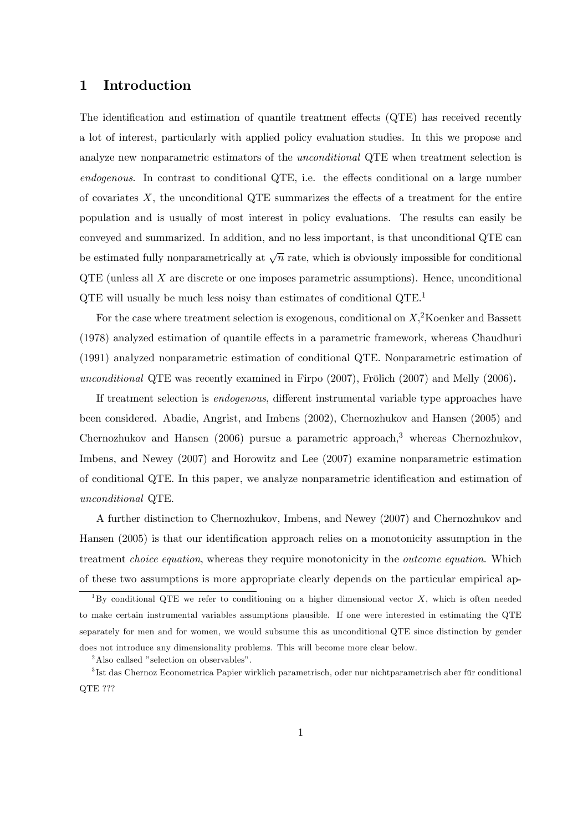## 1 Introduction

The identification and estimation of quantile treatment effects  $(QTE)$  has received recently a lot of interest, particularly with applied policy evaluation studies. In this we propose and analyze new nonparametric estimators of the unconditional QTE when treatment selection is  $endogenous.$  In contrast to conditional QTE, i.e. the effects conditional on a large number of covariates  $X$ , the unconditional QTE summarizes the effects of a treatment for the entire population and is usually of most interest in policy evaluations. The results can easily be conveyed and summarized. In addition, and no less important, is that unconditional QTE can be estimated fully nonparametrically at  $\sqrt{n}$  rate, which is obviously impossible for conditional  $QTE$  (unless all  $X$  are discrete or one imposes parametric assumptions). Hence, unconditional QTE will usually be much less noisy than estimates of conditional QTE.<sup>1</sup>

For the case where treatment selection is exogenous, conditional on  $X$ <sup>2</sup>Koenker and Bassett  $(1978)$  analyzed estimation of quantile effects in a parametric framework, whereas Chaudhuri (1991) analyzed nonparametric estimation of conditional QTE. Nonparametric estimation of unconditional QTE was recently examined in Firpo  $(2007)$ , Frölich  $(2007)$  and Melly  $(2006)$ .

If treatment selection is *endogenous*, different instrumental variable type approaches have been considered. Abadie, Angrist, and Imbens (2002), Chernozhukov and Hansen (2005) and Chernozhukov and Hansen  $(2006)$  pursue a parametric approach,<sup>3</sup> whereas Chernozhukov, Imbens, and Newey (2007) and Horowitz and Lee (2007) examine nonparametric estimation of conditional QTE. In this paper, we analyze nonparametric identification and estimation of unconditional QTE.

A further distinction to Chernozhukov, Imbens, and Newey (2007) and Chernozhukov and Hansen (2005) is that our identification approach relies on a monotonicity assumption in the treatment choice equation, whereas they require monotonicity in the outcome equation. Which of these two assumptions is more appropriate clearly depends on the particular empirical ap-

<sup>&</sup>lt;sup>1</sup>By conditional QTE we refer to conditioning on a higher dimensional vector X, which is often needed to make certain instrumental variables assumptions plausible. If one were interested in estimating the QTE separately for men and for women, we would subsume this as unconditional QTE since distinction by gender does not introduce any dimensionality problems. This will become more clear below.

 $2$ Also callsed "selection on observables".

<sup>&</sup>lt;sup>3</sup>Ist das Chernoz Econometrica Papier wirklich parametrisch, oder nur nichtparametrisch aber für conditional QTE ???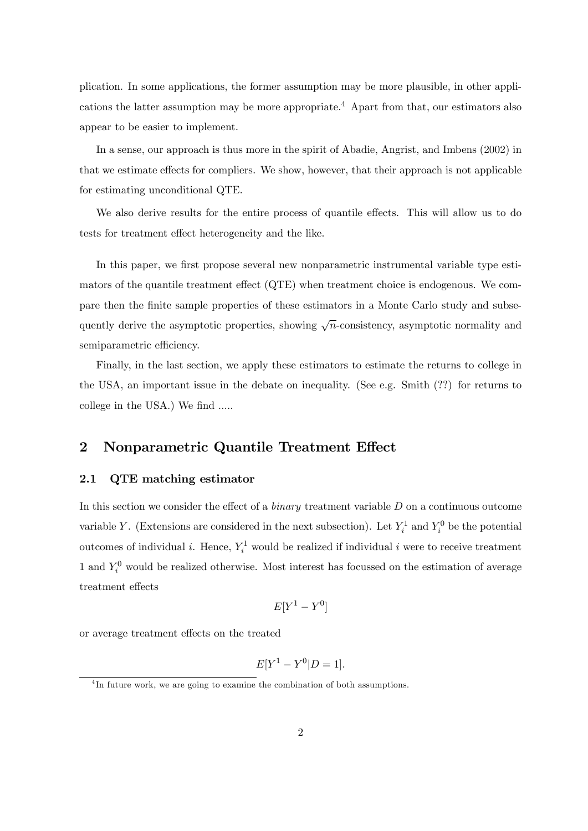plication. In some applications, the former assumption may be more plausible, in other applications the latter assumption may be more appropriate.<sup>4</sup> Apart from that, our estimators also appear to be easier to implement.

In a sense, our approach is thus more in the spirit of Abadie, Angrist, and Imbens (2002) in that we estimate effects for compliers. We show, however, that their approach is not applicable for estimating unconditional QTE.

We also derive results for the entire process of quantile effects. This will allow us to do tests for treatment effect heterogeneity and the like.

In this paper, we first propose several new nonparametric instrumental variable type estimators of the quantile treatment effect  $(QTE)$  when treatment choice is endogenous. We compare then the Önite sample properties of these estimators in a Monte Carlo study and subsequently derive the asymptotic properties, showing  $\sqrt{n}$ -consistency, asymptotic normality and semiparametric efficiency.

Finally, in the last section, we apply these estimators to estimate the returns to college in the USA, an important issue in the debate on inequality. (See e.g. Smith (??) for returns to college in the USA.) We find .....

## 2 Nonparametric Quantile Treatment Effect

### 2.1 QTE matching estimator

In this section we consider the effect of a *binary* treatment variable  $D$  on a continuous outcome variable Y. (Extensions are considered in the next subsection). Let  $Y_i^1$  and  $Y_i^0$  be the potential outcomes of individual *i*. Hence,  $Y_i^1$  would be realized if individual *i* were to receive treatment 1 and  $Y_i^0$  would be realized otherwise. Most interest has focussed on the estimation of average treatment effects

$$
E[Y^1 - Y^0]
$$

or average treatment effects on the treated

$$
E[Y^1 - Y^0 | D = 1].
$$

<sup>&</sup>lt;sup>4</sup>In future work, we are going to examine the combination of both assumptions.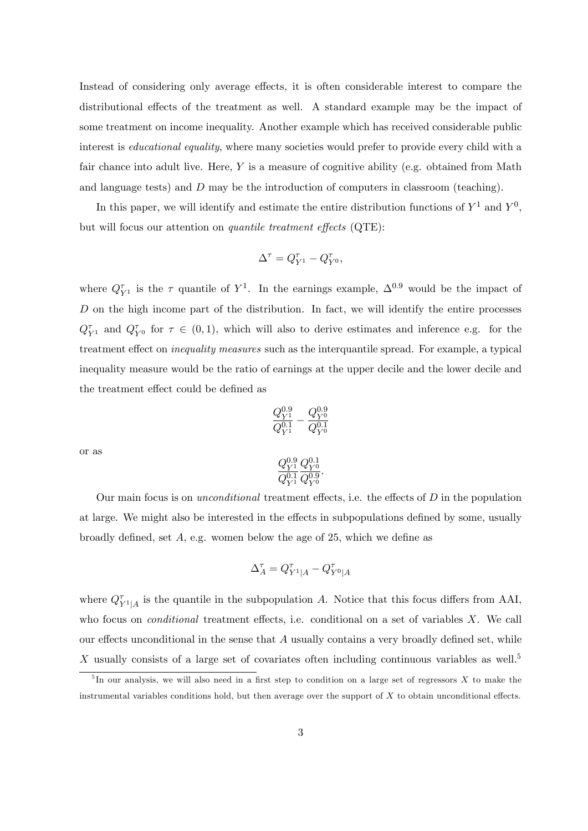Instead of considering only average effects, it is often considerable interest to compare the distributional effects of the treatment as well. A standard example may be the impact of some treatment on income inequality. Another example which has received considerable public interest is *educational equality*, where many societies would prefer to provide every child with a fair chance into adult live. Here,  $Y$  is a measure of cognitive ability (e.g. obtained from Math and language tests) and D may be the introduction of computers in classroom (teaching).

In this paper, we will identify and estimate the entire distribution functions of  $Y^1$  and  $Y^0$ , but will focus our attention on *quantile treatment effects*  $(QTE)$ :

$$
\Delta^{\tau} = Q_{Y^1}^{\tau} - Q_{Y^0}^{\tau},
$$

where  $Q_{Y^1}^{\tau}$  is the  $\tau$  quantile of  $Y^1$ . In the earnings example,  $\Delta^{0.9}$  would be the impact of  $D$  on the high income part of the distribution. In fact, we will identify the entire processes  $Q_{Y^1}^{\tau}$  and  $Q_{Y^0}^{\tau}$  for  $\tau \in (0,1)$ , which will also to derive estimates and inference e.g. for the treatment effect on *inequality measures* such as the interquantile spread. For example, a typical inequality measure would be the ratio of earnings at the upper decile and the lower decile and the treatment effect could be defined as

$$
\frac{Q^{0.9}_{Y^1}}{Q^{0.1}_{Y^1}}-\frac{Q^{0.9}_{Y^0}}{Q^{0.1}_{Y^0}}
$$

or as

$$
\frac{Q^{0.9}_{Y^1}}{Q^{0.1}_{Y^1}} \frac{Q^{0.1}_{Y^0}}{Q^{0.9}_{Y^0}}.
$$

Our main focus is on *unconditional* treatment effects, i.e. the effects of  $D$  in the population at large. We might also be interested in the effects in subpopulations defined by some, usually broadly defined, set  $A$ , e.g. women below the age of 25, which we define as

$$
\Delta_A^\tau=Q_{Y^1|A}^\tau-Q_{Y^0|A}^\tau
$$

where  $Q_{Y^1|A}^{\tau}$  is the quantile in the subpopulation A. Notice that this focus differs from AAI, who focus on *conditional* treatment effects, i.e. conditional on a set of variables  $X$ . We call our effects unconditional in the sense that  $A$  usually contains a very broadly defined set, while X usually consists of a large set of covariates often including continuous variables as well.<sup>5</sup>

 ${}^{5}$ In our analysis, we will also need in a first step to condition on a large set of regressors X to make the instrumental variables conditions hold, but then average over the support of  $X$  to obtain unconditional effects.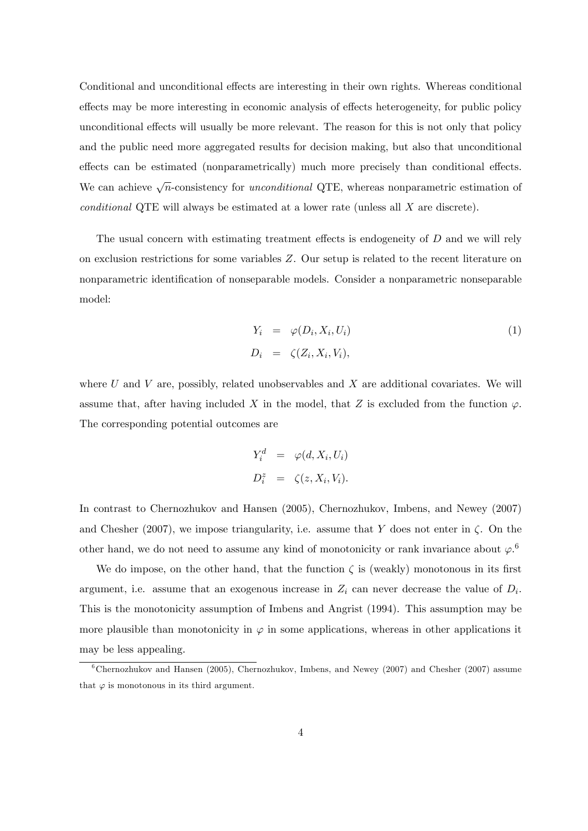Conditional and unconditional effects are interesting in their own rights. Whereas conditional effects may be more interesting in economic analysis of effects heterogeneity, for public policy unconditional effects will usually be more relevant. The reason for this is not only that policy and the public need more aggregated results for decision making, but also that unconditional effects can be estimated (nonparametrically) much more precisely than conditional effects. We can achieve  $\sqrt{n}$ -consistency for *unconditional* QTE, whereas nonparametric estimation of conditional QTE will always be estimated at a lower rate (unless all X are discrete).

The usual concern with estimating treatment effects is endogeneity of  $D$  and we will rely on exclusion restrictions for some variables Z. Our setup is related to the recent literature on nonparametric identification of nonseparable models. Consider a nonparametric nonseparable model:

$$
Y_i = \varphi(D_i, X_i, U_i)
$$
  
\n
$$
D_i = \zeta(Z_i, X_i, V_i),
$$
\n(1)

where U and V are, possibly, related unobservables and X are additional covariates. We will assume that, after having included X in the model, that Z is excluded from the function  $\varphi$ . The corresponding potential outcomes are

$$
Y_i^d = \varphi(d, X_i, U_i)
$$
  

$$
D_i^z = \zeta(z, X_i, V_i).
$$

In contrast to Chernozhukov and Hansen (2005), Chernozhukov, Imbens, and Newey (2007) and Chesher (2007), we impose triangularity, i.e. assume that Y does not enter in  $\zeta$ . On the other hand, we do not need to assume any kind of monotonicity or rank invariance about  $\varphi$ .<sup>6</sup>

We do impose, on the other hand, that the function  $\zeta$  is (weakly) monotonous in its first argument, i.e. assume that an exogenous increase in  $Z_i$  can never decrease the value of  $D_i$ . This is the monotonicity assumption of Imbens and Angrist (1994). This assumption may be more plausible than monotonicity in  $\varphi$  in some applications, whereas in other applications it may be less appealing.

 $6$ Chernozhukov and Hansen (2005), Chernozhukov, Imbens, and Newey (2007) and Chesher (2007) assume that  $\varphi$  is monotonous in its third argument.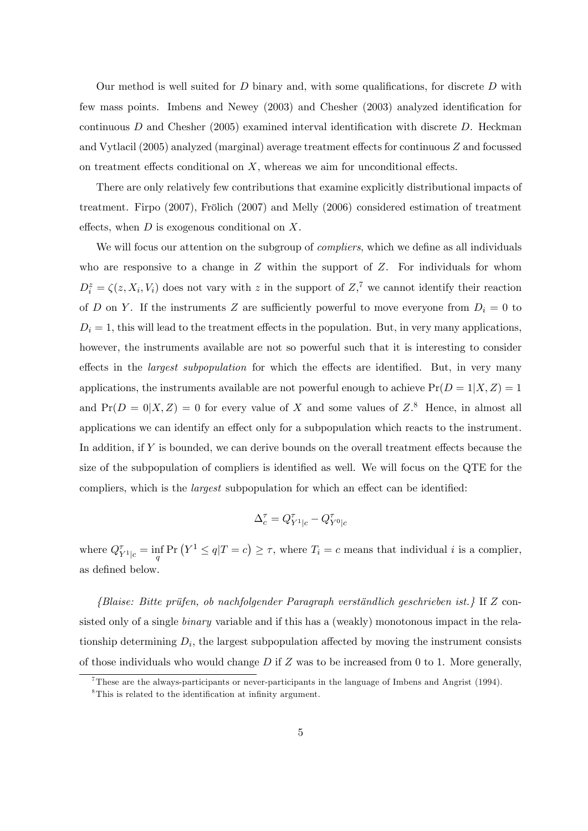Our method is well suited for  $D$  binary and, with some qualifications, for discrete  $D$  with few mass points. Imbens and Newey  $(2003)$  and Chesher  $(2003)$  analyzed identification for continuous D and Chesher (2005) examined interval identification with discrete D. Heckman and Vytlacil  $(2005)$  analyzed (marginal) average treatment effects for continuous Z and focussed on treatment effects conditional on  $X$ , whereas we aim for unconditional effects.

There are only relatively few contributions that examine explicitly distributional impacts of treatment. Firpo  $(2007)$ , Frölich  $(2007)$  and Melly  $(2006)$  considered estimation of treatment effects, when  $D$  is exogenous conditional on  $X$ .

We will focus our attention on the subgroup of *compliers*, which we define as all individuals who are responsive to a change in  $Z$  within the support of  $Z$ . For individuals for whom  $D_i^z = \zeta(z, X_i, V_i)$  does not vary with z in the support of  $Z_i^{\tau}$  we cannot identify their reaction of D on Y. If the instruments Z are sufficiently powerful to move everyone from  $D_i = 0$  to  $D_i = 1$ , this will lead to the treatment effects in the population. But, in very many applications, however, the instruments available are not so powerful such that it is interesting to consider effects in the *largest subpopulation* for which the effects are identified. But, in very many applications, the instruments available are not powerful enough to achieve  $Pr(D = 1|X, Z) = 1$ and  $Pr(D = 0|X, Z) = 0$  for every value of X and some values of  $Z$ <sup>8</sup>. Hence, in almost all applications we can identify an effect only for a subpopulation which reacts to the instrument. In addition, if  $Y$  is bounded, we can derive bounds on the overall treatment effects because the size of the subpopulation of compliers is identified as well. We will focus on the QTE for the compliers, which is the *largest* subpopulation for which an effect can be identified:

$$
\Delta_c^\tau=Q_{Y^1|c}^\tau-Q_{Y^0|c}^\tau
$$

where  $Q_{Y^1|c}^{\tau} = \inf_q \Pr(Y^1 \le q | T = c) \ge \tau$ , where  $T_i = c$  means that individual i is a complier, as defined below.

 ${B}$ laise: Bitte prüfen, ob nachfolgender Paragraph verständlich geschrieben ist.} If Z consisted only of a single binary variable and if this has a (weakly) monotonous impact in the relationship determining  $D_i$ , the largest subpopulation affected by moving the instrument consists of those individuals who would change  $D$  if  $Z$  was to be increased from 0 to 1. More generally,

<sup>7</sup>These are the always-participants or never-participants in the language of Imbens and Angrist (1994).

 ${}^{8}$ This is related to the identification at infinity argument.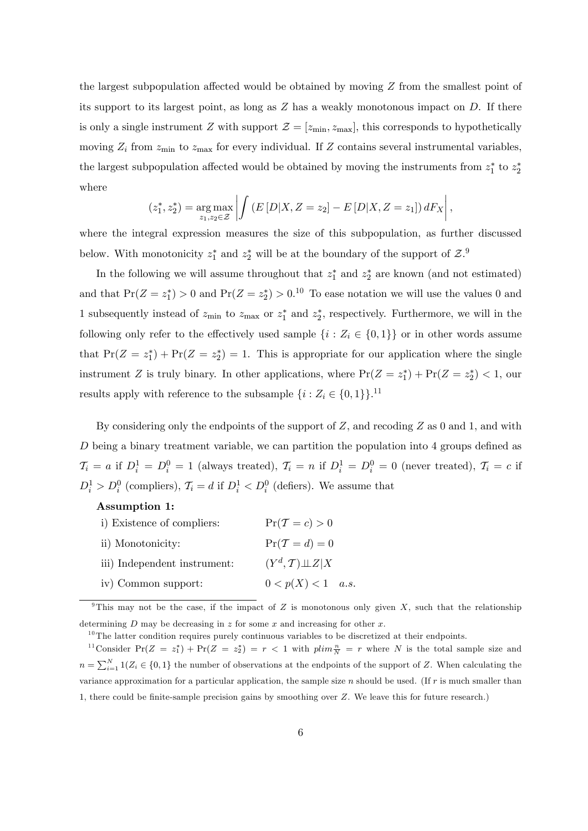the largest subpopulation affected would be obtained by moving  $Z$  from the smallest point of its support to its largest point, as long as  $Z$  has a weakly monotonous impact on  $D$ . If there is only a single instrument Z with support  $\mathcal{Z} = [z_{\min}, z_{\max}]$ , this corresponds to hypothetically moving  $Z_i$  from  $z_{\text{min}}$  to  $z_{\text{max}}$  for every individual. If Z contains several instrumental variables, the largest subpopulation affected would be obtained by moving the instruments from  $z_1^*$  to  $z_2^*$ where

$$
(z_1^*, z_2^*) = \underset{z_1, z_2 \in \mathcal{Z}}{\arg \max} \left| \int \left( E\left[ D | X, Z = z_2 \right] - E\left[ D | X, Z = z_1 \right] \right) dF_X \right|,
$$

where the integral expression measures the size of this subpopulation, as further discussed below. With monotonicity  $z_1^*$  and  $z_2^*$  will be at the boundary of the support of  $\mathcal{Z}$ .<sup>9</sup>

In the following we will assume throughout that  $z_1^*$  and  $z_2^*$  are known (and not estimated) and that  $Pr(Z = z_1^*) > 0$  and  $Pr(Z = z_2^*) > 0.10$  To ease notation we will use the values 0 and 1 subsequently instead of  $z_{\text{min}}$  to  $z_{\text{max}}$  or  $z_1^*$  and  $z_2^*$ , respectively. Furthermore, we will in the following only refer to the effectively used sample  $\{i : Z_i \in \{0,1\}\}\$  or in other words assume that  $Pr(Z = z_1^*) + Pr(Z = z_2^*) = 1$ . This is appropriate for our application where the single instrument Z is truly binary. In other applications, where  $Pr(Z = z_1^*) + Pr(Z = z_2^*) < 1$ , our results apply with reference to the subsample  $\{i : Z_i \in \{0, 1\}\}.^{11}$ 

By considering only the endpoints of the support of  $Z$ , and recoding  $Z$  as 0 and 1, and with D being a binary treatment variable, we can partition the population into  $4$  groups defined as  $\mathcal{T}_i = a$  if  $D_i^1 = D_i^0 = 1$  (always treated),  $\mathcal{T}_i = n$  if  $D_i^1 = D_i^0 = 0$  (never treated),  $\mathcal{T}_i = c$  if  $D_i^1 > D_i^0$  (compliers),  $\mathcal{T}_i = d$  if  $D_i^1 < D_i^0$  (defiers). We assume that

#### Assumption 1:

| i) Existence of compliers:   | $Pr(\mathcal{T}=c)>0$                         |
|------------------------------|-----------------------------------------------|
| ii) Monotonicity:            | $Pr(\mathcal{T} = d) = 0$                     |
| iii) Independent instrument: | $(Y^d, \mathcal{T}) \perp \!\!\! \perp Z   X$ |
| iv) Common support:          | $0 < p(X) < 1$ a.s.                           |

<sup>9</sup>This may not be the case, if the impact of Z is monotonous only given X, such that the relationship determining  $D$  may be decreasing in  $z$  for some  $x$  and increasing for other  $x$ .

 $10$ The latter condition requires purely continuous variables to be discretized at their endpoints.

<sup>&</sup>lt;sup>11</sup>Consider Pr( $Z = z_1^*$ ) + Pr( $Z = z_2^*$ ) =  $r < 1$  with  $plim \frac{n}{N} = r$  where N is the total sample size and  $n = \sum_{i=1}^{N} 1(Z_i \in \{0,1\})$  the number of observations at the endpoints of the support of Z. When calculating the variance approximation for a particular application, the sample size  $n$  should be used. (If  $r$  is much smaller than 1, there could be finite-sample precision gains by smoothing over  $Z$ . We leave this for future research.)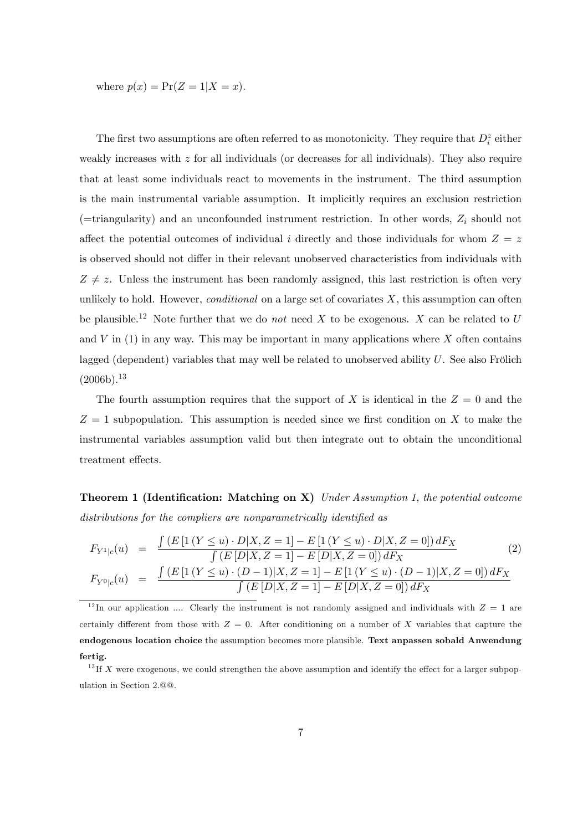where  $p(x) = Pr(Z = 1 | X = x)$ .

The first two assumptions are often referred to as monotonicity. They require that  $D_i^z$  either weakly increases with  $z$  for all individuals (or decreases for all individuals). They also require that at least some individuals react to movements in the instrument. The third assumption is the main instrumental variable assumption. It implicitly requires an exclusion restriction (=triangularity) and an unconfounded instrument restriction. In other words,  $Z_i$  should not affect the potential outcomes of individual i directly and those individuals for whom  $Z = z$ is observed should not differ in their relevant unobserved characteristics from individuals with  $Z \neq z$ . Unless the instrument has been randomly assigned, this last restriction is often very unlikely to hold. However, *conditional* on a large set of covariates  $X$ , this assumption can often be plausible.<sup>12</sup> Note further that we do *not* need X to be exogenous. X can be related to U and  $V$  in (1) in any way. This may be important in many applications where  $X$  often contains lagged (dependent) variables that may well be related to unobserved ability  $U$ . See also Frölich  $(2006b).$ <sup>13</sup>

The fourth assumption requires that the support of X is identical in the  $Z = 0$  and the  $Z = 1$  subpopulation. This assumption is needed since we first condition on X to make the instrumental variables assumption valid but then integrate out to obtain the unconditional treatment effects.

**Theorem 1 (Identification: Matching on X)** Under Assumption 1, the potential outcome distributions for the compliers are nonparametrically identified as

$$
F_{Y^{1}|c}(u) = \frac{\int (E\left[1(Y \le u) \cdot D | X, Z = 1\right] - E\left[1(Y \le u) \cdot D | X, Z = 0\right]) dF_X}{\int (E\left[D | X, Z = 1\right] - E\left[D | X, Z = 0\right]) dF_X}
$$
\n
$$
F_{Y^{0}|c}(u) = \frac{\int (E\left[1(Y \le u) \cdot (D - 1) | X, Z = 1\right] - E\left[1(Y \le u) \cdot (D - 1) | X, Z = 0\right]) dF_X}{\int (E\left[D | X, Z = 1\right] - E\left[D | X, Z = 0\right]) dF_X}
$$
\n(2)

<sup>12</sup>In our application .... Clearly the instrument is not randomly assigned and individuals with  $Z = 1$  are certainly different from those with  $Z = 0$ . After conditioning on a number of X variables that capture the endogenous location choice the assumption becomes more plausible. Text anpassen sobald Anwendung fertig.

 $^{13}$  If X were exogenous, we could strengthen the above assumption and identify the effect for a larger subpopulation in Section 2.@@.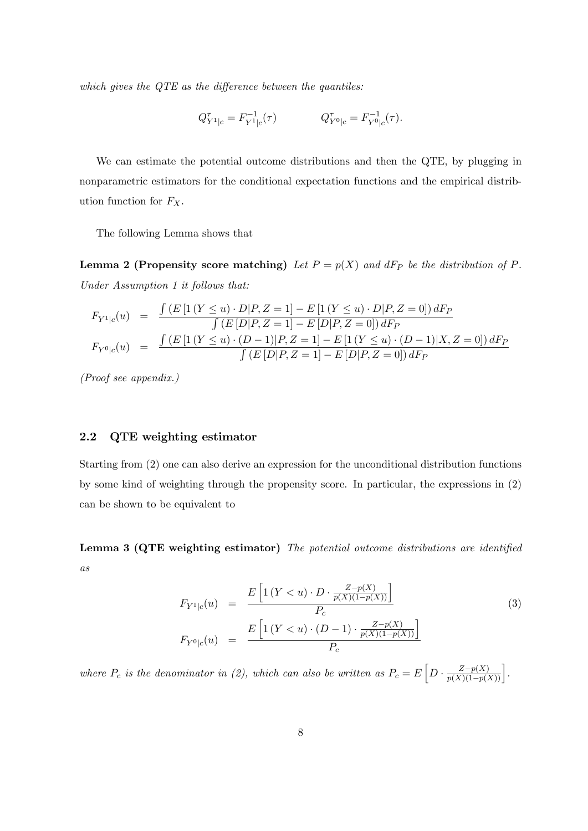which gives the  $QTE$  as the difference between the quantiles:

$$
Q_{Y^1|c}^{\tau} = F_{Y^1|c}^{-1}(\tau) \qquad \qquad Q_{Y^0|c}^{\tau} = F_{Y^0|c}^{-1}(\tau).
$$

We can estimate the potential outcome distributions and then the QTE, by plugging in nonparametric estimators for the conditional expectation functions and the empirical distribution function for  $F_X$ .

The following Lemma shows that

**Lemma 2 (Propensity score matching)** Let  $P = p(X)$  and dF<sub>P</sub> be the distribution of P. Under Assumption 1 it follows that:

$$
F_{Y^1|c}(u) = \frac{\int (E\left[1\left(Y \le u\right) \cdot D \middle| P, Z = 1\right] - E\left[1\left(Y \le u\right) \cdot D \middle| P, Z = 0\right]\right) dF_P}{\int (E\left[D \middle| P, Z = 1\right] - E\left[D \middle| P, Z = 0\right]) dF_P}
$$

$$
F_{Y^0|c}(u) = \frac{\int (E\left[1\left(Y \le u\right) \cdot (D - 1) \middle| P, Z = 1\right] - E\left[1\left(Y \le u\right) \cdot (D - 1) \middle| X, Z = 0\right]\right) dF_P}{\int (E\left[D \middle| P, Z = 1\right] - E\left[D \middle| P, Z = 0\right]) dF_P}
$$

(Proof see appendix.)

### 2.2 QTE weighting estimator

Starting from (2) one can also derive an expression for the unconditional distribution functions by some kind of weighting through the propensity score. In particular, the expressions in (2) can be shown to be equivalent to

Lemma 3 (QTE weighting estimator) The potential outcome distributions are identified as

$$
F_{Y^{1}|c}(u) = \frac{E\left[1(Y < u) \cdot D \cdot \frac{Z - p(X)}{p(X)(1 - p(X))}\right]}{P_c}
$$
  
\n
$$
F_{Y^{0}|c}(u) = \frac{E\left[1(Y < u) \cdot (D - 1) \cdot \frac{Z - p(X)}{p(X)(1 - p(X))}\right]}{P_c}
$$
\n(3)

where  $P_c$  is the denominator in (2), which can also be written as  $P_c = E\left[D \cdot \frac{Z - p(X)}{p(X)(1 - p(X))}\right]$ .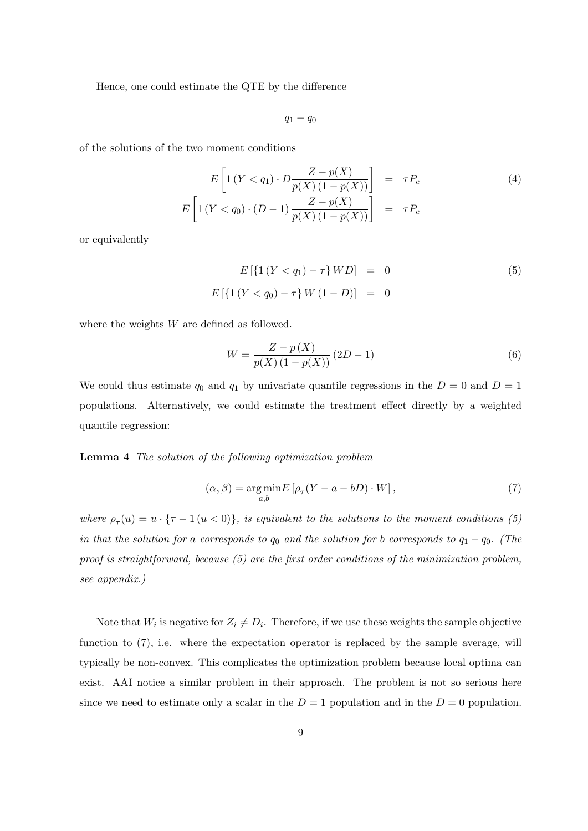Hence, one could estimate the QTE by the difference

 $q_1 - q_0$ 

of the solutions of the two moment conditions

$$
E\left[1(Y < q_1) \cdot D \frac{Z - p(X)}{p(X)(1 - p(X))}\right] = \tau P_c
$$
\n
$$
E\left[1(Y < q_0) \cdot (D - 1) \frac{Z - p(X)}{p(X)(1 - p(X))}\right] = \tau P_c
$$
\n(4)

or equivalently

$$
E\left[\left\{1\left(Y < q_1\right) - \tau\right\}WD\right] = 0\tag{5}
$$
\n
$$
E\left[\left\{1\left(Y < q_0\right) - \tau\right\}W\left(1 - D\right)\right] = 0
$$

where the weights  $W$  are defined as followed.

$$
W = \frac{Z - p(X)}{p(X)(1 - p(X))} (2D - 1)
$$
\n(6)

We could thus estimate  $q_0$  and  $q_1$  by univariate quantile regressions in the  $D = 0$  and  $D = 1$ populations. Alternatively, we could estimate the treatment effect directly by a weighted quantile regression:

Lemma 4 The solution of the following optimization problem

$$
(\alpha, \beta) = \underset{a,b}{\text{arg min}} E\left[\rho_{\tau}(Y - a - bD) \cdot W\right],\tag{7}
$$

where  $\rho_{\tau}(u) = u \cdot {\tau - 1}$   $(u < 0)$ , is equivalent to the solutions to the moment conditions (5) in that the solution for a corresponds to  $q_0$  and the solution for b corresponds to  $q_1 - q_0$ . (The proof is straightforward, because  $(5)$  are the first order conditions of the minimization problem, see appendix.)

Note that  $W_i$  is negative for  $Z_i \neq D_i$ . Therefore, if we use these weights the sample objective function to  $(7)$ , i.e. where the expectation operator is replaced by the sample average, will typically be non-convex. This complicates the optimization problem because local optima can exist. AAI notice a similar problem in their approach. The problem is not so serious here since we need to estimate only a scalar in the  $D = 1$  population and in the  $D = 0$  population.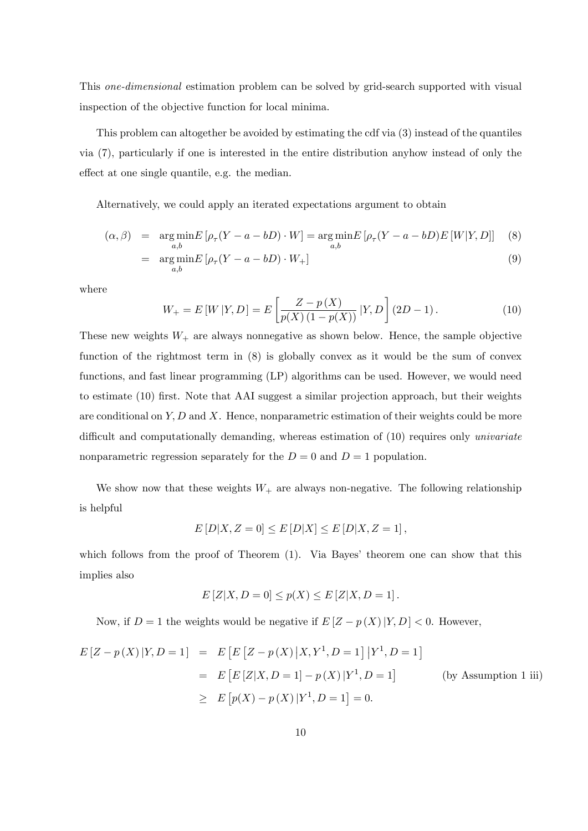This one-dimensional estimation problem can be solved by grid-search supported with visual inspection of the objective function for local minima.

This problem can altogether be avoided by estimating the cdf via (3) instead of the quantiles via (7), particularly if one is interested in the entire distribution anyhow instead of only the effect at one single quantile, e.g. the median.

Alternatively, we could apply an iterated expectations argument to obtain

$$
(\alpha, \beta) = \underset{a,b}{\arg\min} E\left[\rho_{\tau}(Y - a - bD) \cdot W\right] = \underset{a,b}{\arg\min} E\left[\rho_{\tau}(Y - a - bD)E\left[W|Y, D\right]\right] \tag{8}
$$

$$
= \underset{a,b}{\arg\min} E\left[\rho_{\tau}(Y - a - bD) \cdot W_{+}\right] \tag{9}
$$

where

$$
W_{+} = E[W|Y,D] = E\left[\frac{Z - p(X)}{p(X)(1 - p(X))}|Y,D\right](2D - 1).
$$
 (10)

These new weights  $W_+$  are always nonnegative as shown below. Hence, the sample objective function of the rightmost term in (8) is globally convex as it would be the sum of convex functions, and fast linear programming (LP) algorithms can be used. However, we would need to estimate (10) first. Note that AAI suggest a similar projection approach, but their weights are conditional on  $Y, D$  and X. Hence, nonparametric estimation of their weights could be more difficult and computationally demanding, whereas estimation of  $(10)$  requires only *univariate* nonparametric regression separately for the  $D = 0$  and  $D = 1$  population.

We show now that these weights  $W_+$  are always non-negative. The following relationship is helpful

$$
E[D|X, Z=0] \le E[D|X] \le E[D|X, Z=1],
$$

which follows from the proof of Theorem (1). Via Bayes' theorem one can show that this implies also

$$
E[Z|X, D = 0] \le p(X) \le E[Z|X, D = 1].
$$

Now, if  $D = 1$  the weights would be negative if  $E[Z - p(X)|Y, D] < 0$ . However,

$$
E[Z - p(X)|Y, D = 1] = E[E[Z - p(X)|X, Y^1, D = 1]|Y^1, D = 1]
$$
  
=  $E[E[Z|X, D = 1] - p(X)|Y^1, D = 1]$  (by Assumption 1 iii)  
 $\ge E[p(X) - p(X)|Y^1, D = 1] = 0.$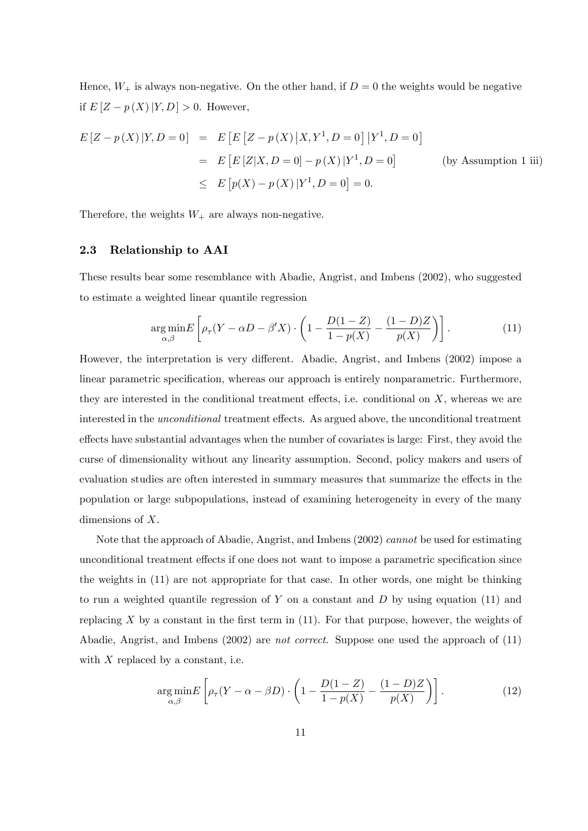Hence,  $W_+$  is always non-negative. On the other hand, if  $D=0$  the weights would be negative if  $E[Z - p(X)|Y,D] > 0$ . However,

$$
E[Z - p(X)|Y, D = 0] = E[E[Z - p(X)|X, Y^1, D = 0]|Y^1, D = 0]
$$
  
=  $E[E[Z|X, D = 0] - p(X)|Y^1, D = 0]$  (by Assumption 1 iii)  
 $\leq E[p(X) - p(X)|Y^1, D = 0] = 0.$ 

Therefore, the weights  $W_+$  are always non-negative.

#### 2.3 Relationship to AAI

These results bear some resemblance with Abadie, Angrist, and Imbens (2002), who suggested to estimate a weighted linear quantile regression

$$
\underset{\alpha,\beta}{\arg\min} E\left[\rho_{\tau}(Y-\alpha D-\beta'X)\cdot\left(1-\frac{D(1-Z)}{1-p(X)}-\frac{(1-D)Z}{p(X)}\right)\right].\tag{11}
$$

However, the interpretation is very different. Abadie, Angrist, and Imbens (2002) impose a linear parametric specification, whereas our approach is entirely nonparametric. Furthermore, they are interested in the conditional treatment effects, i.e. conditional on  $X$ , whereas we are interested in the *unconditional* treatment effects. As argued above, the unconditional treatment effects have substantial advantages when the number of covariates is large: First, they avoid the curse of dimensionality without any linearity assumption. Second, policy makers and users of evaluation studies are often interested in summary measures that summarize the effects in the population or large subpopulations, instead of examining heterogeneity in every of the many dimensions of X.

Note that the approach of Abadie, Angrist, and Imbens (2002) cannot be used for estimating unconditional treatment effects if one does not want to impose a parametric specification since the weights in (11) are not appropriate for that case. In other words, one might be thinking to run a weighted quantile regression of Y on a constant and D by using equation  $(11)$  and replacing  $X$  by a constant in the first term in  $(11)$ . For that purpose, however, the weights of Abadie, Angrist, and Imbens (2002) are not correct. Suppose one used the approach of (11) with  $X$  replaced by a constant, i.e.

$$
\underset{\alpha,\beta}{\arg\min} E\left[\rho_{\tau}(Y-\alpha-\beta D)\cdot\left(1-\frac{D(1-Z)}{1-p(X)}-\frac{(1-D)Z}{p(X)}\right)\right].\tag{12}
$$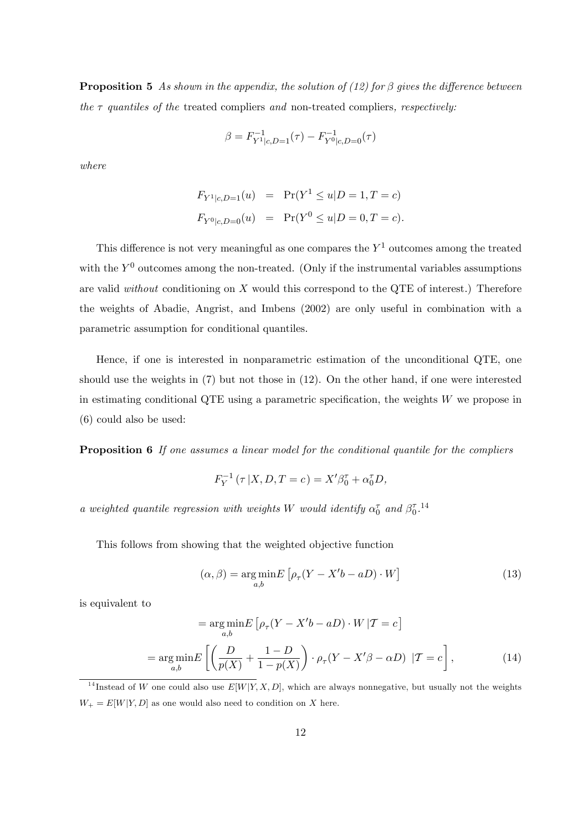**Proposition 5** As shown in the appendix, the solution of (12) for  $\beta$  gives the difference between the  $\tau$  quantiles of the treated compliers and non-treated compliers, respectively:

$$
\beta = F_{Y^1|c,D=1}^{-1}(\tau) - F_{Y^0|c,D=0}^{-1}(\tau)
$$

where

$$
F_{Y^1|c, D=1}(u) = \Pr(Y^1 \le u | D=1, T=c)
$$
  

$$
F_{Y^0|c, D=0}(u) = \Pr(Y^0 \le u | D=0, T=c).
$$

This difference is not very meaningful as one compares the  $Y^1$  outcomes among the treated with the  $Y^0$  outcomes among the non-treated. (Only if the instrumental variables assumptions are valid without conditioning on  $X$  would this correspond to the QTE of interest.) Therefore the weights of Abadie, Angrist, and Imbens (2002) are only useful in combination with a parametric assumption for conditional quantiles.

Hence, if one is interested in nonparametric estimation of the unconditional QTE, one should use the weights in (7) but not those in (12). On the other hand, if one were interested in estimating conditional QTE using a parametric specification, the weights  $W$  we propose in (6) could also be used:

Proposition 6 If one assumes a linear model for the conditional quantile for the compliers

$$
F_Y^{-1}(\tau | X, D, T = c) = X'\beta_0^{\tau} + \alpha_0^{\tau}D,
$$

a weighted quantile regression with weights W would identify  $\alpha_0^{\tau}$  and  $\beta_0^{\tau}$ .<sup>14</sup>

This follows from showing that the weighted objective function

$$
(\alpha, \beta) = \underset{a,b}{\text{arg min}} E\left[\rho_{\tau}(Y - X'b - aD) \cdot W\right]
$$
\n(13)

is equivalent to

$$
= \underset{a,b}{\arg\min} E\left[\rho_{\tau}(Y - X'b - aD) \cdot W | \mathcal{T} = c\right]
$$

$$
= \underset{a,b}{\arg\min} E\left[\left(\frac{D}{p(X)} + \frac{1 - D}{1 - p(X)}\right) \cdot \rho_{\tau}(Y - X'\beta - \alpha D) | \mathcal{T} = c\right],\tag{14}
$$

<sup>&</sup>lt;sup>14</sup>Instead of W one could also use  $E[W|Y, X, D]$ , which are always nonnegative, but usually not the weights  $W_+ = E[W|Y,D]$  as one would also need to condition on X here.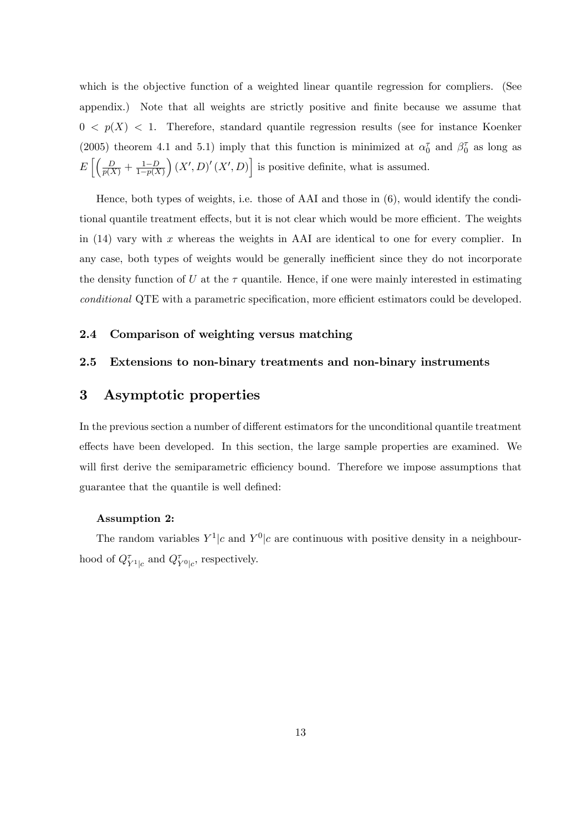which is the objective function of a weighted linear quantile regression for compliers. (See appendix.) Note that all weights are strictly positive and Önite because we assume that  $0 \leq p(X) \leq 1$ . Therefore, standard quantile regression results (see for instance Koenker (2005) theorem 4.1 and 5.1) imply that this function is minimized at  $\alpha_0^{\tau}$  and  $\beta_0^{\tau}$  as long as  $E\left[\left(\frac{D}{p(X)} + \frac{1-D}{1-p(X)}\right)$  $1-p(X)$  $(X', D)'(X', D)$  is positive definite, what is assumed.

Hence, both types of weights, i.e. those of AAI and those in (6), would identify the conditional quantile treatment effects, but it is not clear which would be more efficient. The weights in  $(14)$  vary with x whereas the weights in AAI are identical to one for every complier. In any case, both types of weights would be generally inefficient since they do not incorporate the density function of U at the  $\tau$  quantile. Hence, if one were mainly interested in estimating conditional QTE with a parametric specification, more efficient estimators could be developed.

### 2.4 Comparison of weighting versus matching

### 2.5 Extensions to non-binary treatments and non-binary instruments

## 3 Asymptotic properties

In the previous section a number of different estimators for the unconditional quantile treatment effects have been developed. In this section, the large sample properties are examined. We will first derive the semiparametric efficiency bound. Therefore we impose assumptions that guarantee that the quantile is well defined:

#### Assumption 2:

The random variables  $Y^1|c$  and  $Y^0|c$  are continuous with positive density in a neighbourhood of  $Q_{Y^1|c}^{\tau}$  and  $Q_{Y^0|c}^{\tau}$ , respectively.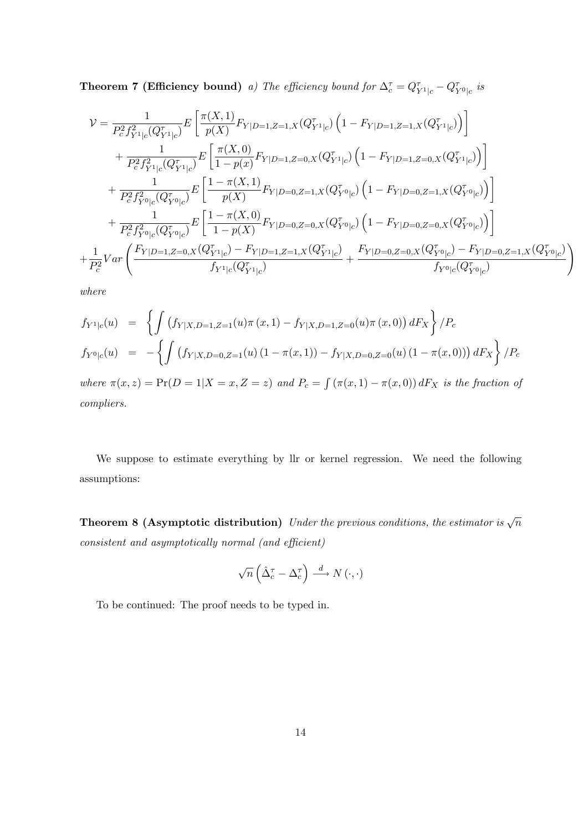**Theorem 7 (Efficiency bound)** a) The efficiency bound for  $\Delta_c^{\tau} = Q_{Y^1|c}^{\tau} - Q_{Y^0|c}^{\tau}$  is

$$
\mathcal{V} = \frac{1}{P_c^2 f_{Y^1|c}^2 (Q_{Y^1|c}^{\tau})} E\left[\frac{\pi(X,1)}{p(X)} F_{Y|D=1,Z=1,X} (Q_{Y^1|c}^{\tau}) \left(1 - F_{Y|D=1,Z=1,X} (Q_{Y^1|c}^{\tau})\right)\right] \n+ \frac{1}{P_c^2 f_{Y^1|c}^2 (Q_{Y^1|c}^{\tau})} E\left[\frac{\pi(X,0)}{1 - p(x)} F_{Y|D=1,Z=0,X} (Q_{Y^1|c}^{\tau}) \left(1 - F_{Y|D=1,Z=0,X} (Q_{Y^1|c}^{\tau})\right)\right] \n+ \frac{1}{P_c^2 f_{Y^0|c}^2 (Q_{Y^0|c}^{\tau})} E\left[\frac{1 - \pi(X,1)}{p(X)} F_{Y|D=0,Z=1,X} (Q_{Y^0|c}^{\tau}) \left(1 - F_{Y|D=0,Z=1,X} (Q_{Y^0|c}^{\tau})\right)\right] \n+ \frac{1}{P_c^2 f_{Y^0|c}^2 (Q_{Y^0|c}^{\tau})} E\left[\frac{1 - \pi(X,0)}{1 - p(X)} F_{Y|D=0,Z=0,X} (Q_{Y^0|c}^{\tau}) \left(1 - F_{Y|D=0,Z=0,X} (Q_{Y^0|c}^{\tau})\right)\right] \n+ \frac{1}{P_c^2} V a r \left(\frac{F_{Y|D=1,Z=0,X} (Q_{Y^1|c}^{\tau}) - F_{Y|D=1,Z=1,X} (Q_{Y^1|c}^{\tau})}{f_{Y^1|c} (Q_{Y^1|c}^{\tau})} + \frac{F_{Y|D=0,Z=0,X} (Q_{Y^0|c}^{\tau}) - F_{Y|D=0,Z=1,X} (Q_{Y^0|c}^{\tau})}{f_{Y^0|c} (Q_{Y^0|c}^{\tau})}\right)
$$

where

$$
f_{Y^1|c}(u) = \left\{ \int \left( f_{Y|X,D=1,Z=1}(u)\pi(x,1) - f_{Y|X,D=1,Z=0}(u)\pi(x,0) \right) dF_X \right\} / P_c
$$
  
\n
$$
f_{Y^0|c}(u) = -\left\{ \int \left( f_{Y|X,D=0,Z=1}(u) \left( 1 - \pi(x,1) \right) - f_{Y|X,D=0,Z=0}(u) \left( 1 - \pi(x,0) \right) \right) dF_X \right\} / P_c
$$
  
\nwhere  $\pi(x,z) = \Pr(D=1|X=x,Z=z)$  and  $P_c = \int (\pi(x,1) - \pi(x,0)) dF_X$  is the fraction of

compliers.

We suppose to estimate everything by llr or kernel regression. We need the following assumptions:

**Theorem 8 (Asymptotic distribution)** Under the previous conditions, the estimator is  $\sqrt{n}$  $consistent$  and asymptotically normal (and efficient)

$$
\sqrt{n}\left(\hat{\Delta}_{c}^{\tau}-\Delta_{c}^{\tau}\right)\stackrel{d}{\longrightarrow}N\left(\cdot,\cdot\right)
$$

To be continued: The proof needs to be typed in.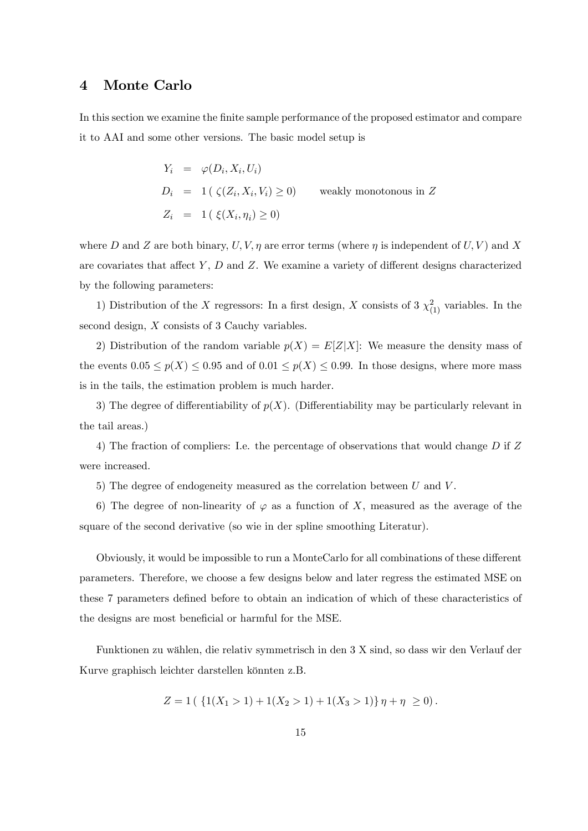### 4 Monte Carlo

In this section we examine the finite sample performance of the proposed estimator and compare it to AAI and some other versions. The basic model setup is

$$
Y_i = \varphi(D_i, X_i, U_i)
$$
  
\n
$$
D_i = 1 \, (\zeta(Z_i, X_i, V_i) \ge 0) \qquad \text{weakly monotonous in } Z
$$
  
\n
$$
Z_i = 1 \, (\xi(X_i, \eta_i) \ge 0)
$$

where D and Z are both binary,  $U, V, \eta$  are error terms (where  $\eta$  is independent of  $U, V$ ) and X are covariates that affect Y,  $D$  and Z. We examine a variety of different designs characterized by the following parameters:

1) Distribution of the X regressors: In a first design, X consists of 3  $\chi^2_{(1)}$  variables. In the second design, X consists of 3 Cauchy variables.

2) Distribution of the random variable  $p(X) = E[Z|X]$ : We measure the density mass of the events  $0.05 \le p(X) \le 0.95$  and of  $0.01 \le p(X) \le 0.99$ . In those designs, where more mass is in the tails, the estimation problem is much harder.

3) The degree of differentiability of  $p(X)$ . (Differentiability may be particularly relevant in the tail areas.)

4) The fraction of compliers: I.e. the percentage of observations that would change D if Z were increased.

5) The degree of endogeneity measured as the correlation between  $U$  and  $V$ .

6) The degree of non-linearity of  $\varphi$  as a function of X, measured as the average of the square of the second derivative (so wie in der spline smoothing Literatur).

Obviously, it would be impossible to run a MonteCarlo for all combinations of these different parameters. Therefore, we choose a few designs below and later regress the estimated MSE on these 7 parameters defined before to obtain an indication of which of these characteristics of the designs are most beneficial or harmful for the MSE.

Funktionen zu w‰hlen, die relativ symmetrisch in den 3 X sind, so dass wir den Verlauf der Kurve graphisch leichter darstellen könnten z.B.

$$
Z = 1 \left( \left\{ 1(X_1 > 1) + 1(X_2 > 1) + 1(X_3 > 1) \right\} \eta + \eta \right) \geq 0 \right).
$$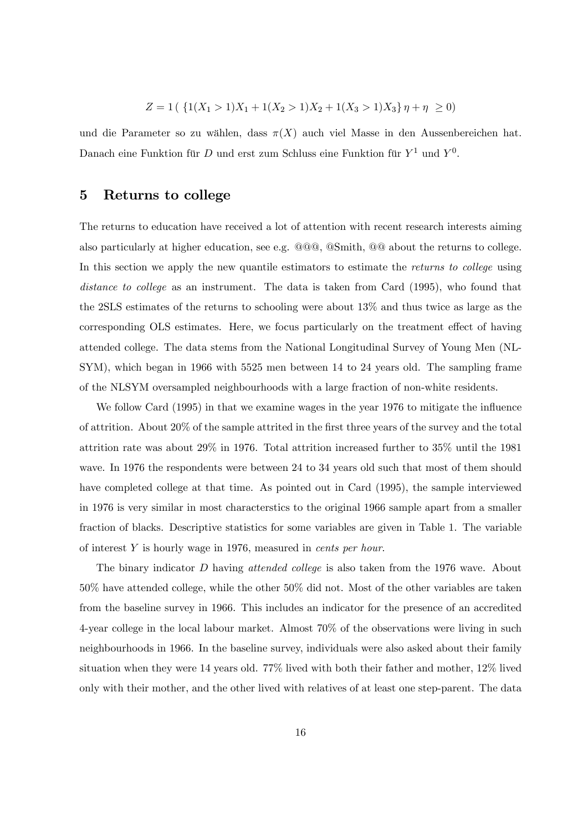$$
Z = 1\left(\left\{1(X_1 > 1)X_1 + 1(X_2 > 1)X_2 + 1(X_3 > 1)X_3\right\}\eta + \eta \ge 0\right)
$$

und die Parameter so zu wählen, dass  $\pi(X)$  auch viel Masse in den Aussenbereichen hat. Danach eine Funktion für D und erst zum Schluss eine Funktion für  $Y^1$  und  $Y^0$ .

## 5 Returns to college

The returns to education have received a lot of attention with recent research interests aiming also particularly at higher education, see e.g. @@@, @Smith, @@ about the returns to college. In this section we apply the new quantile estimators to estimate the returns to college using distance to college as an instrument. The data is taken from Card (1995), who found that the 2SLS estimates of the returns to schooling were about 13% and thus twice as large as the corresponding OLS estimates. Here, we focus particularly on the treatment effect of having attended college. The data stems from the National Longitudinal Survey of Young Men (NL-SYM), which began in 1966 with 5525 men between 14 to 24 years old. The sampling frame of the NLSYM oversampled neighbourhoods with a large fraction of non-white residents.

We follow Card  $(1995)$  in that we examine wages in the year 1976 to mitigate the influence of attrition. About 20% of the sample attrited in the Örst three years of the survey and the total attrition rate was about 29% in 1976. Total attrition increased further to 35% until the 1981 wave. In 1976 the respondents were between 24 to 34 years old such that most of them should have completed college at that time. As pointed out in Card (1995), the sample interviewed in 1976 is very similar in most characterstics to the original 1966 sample apart from a smaller fraction of blacks. Descriptive statistics for some variables are given in Table 1. The variable of interest Y is hourly wage in 1976, measured in cents per hour.

The binary indicator D having *attended college* is also taken from the 1976 wave. About 50% have attended college, while the other 50% did not. Most of the other variables are taken from the baseline survey in 1966. This includes an indicator for the presence of an accredited 4-year college in the local labour market. Almost 70% of the observations were living in such neighbourhoods in 1966. In the baseline survey, individuals were also asked about their family situation when they were 14 years old. 77% lived with both their father and mother, 12% lived only with their mother, and the other lived with relatives of at least one step-parent. The data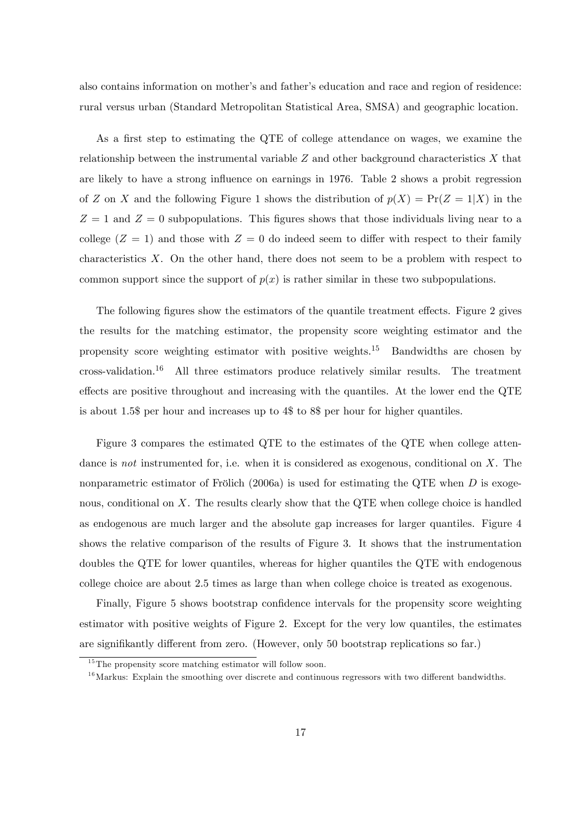also contains information on mother's and father's education and race and region of residence: rural versus urban (Standard Metropolitan Statistical Area, SMSA) and geographic location.

As a first step to estimating the QTE of college attendance on wages, we examine the relationship between the instrumental variable  $Z$  and other background characteristics  $X$  that are likely to have a strong influence on earnings in 1976. Table 2 shows a probit regression of Z on X and the following Figure 1 shows the distribution of  $p(X) = Pr(Z = 1|X)$  in the  $Z = 1$  and  $Z = 0$  subpopulations. This figures shows that those individuals living near to a college  $(Z = 1)$  and those with  $Z = 0$  do indeed seem to differ with respect to their family characteristics  $X$ . On the other hand, there does not seem to be a problem with respect to common support since the support of  $p(x)$  is rather similar in these two subpopulations.

The following figures show the estimators of the quantile treatment effects. Figure 2 gives the results for the matching estimator, the propensity score weighting estimator and the propensity score weighting estimator with positive weights.<sup>15</sup> Bandwidths are chosen by  $\cos s$ -validation.<sup>16</sup> All three estimators produce relatively similar results. The treatment effects are positive throughout and increasing with the quantiles. At the lower end the QTE is about 1.5\$ per hour and increases up to 4\$ to 8\$ per hour for higher quantiles.

Figure 3 compares the estimated QTE to the estimates of the QTE when college attendance is not instrumented for, i.e. when it is considered as exogenous, conditional on X. The nonparametric estimator of Frölich (2006a) is used for estimating the QTE when  $D$  is exogenous, conditional on  $X$ . The results clearly show that the QTE when college choice is handled as endogenous are much larger and the absolute gap increases for larger quantiles. Figure 4 shows the relative comparison of the results of Figure 3. It shows that the instrumentation doubles the QTE for lower quantiles, whereas for higher quantiles the QTE with endogenous college choice are about 2.5 times as large than when college choice is treated as exogenous.

Finally, Figure 5 shows bootstrap confidence intervals for the propensity score weighting estimator with positive weights of Figure 2. Except for the very low quantiles, the estimates are signifikantly different from zero. (However, only 50 bootstrap replications so far.)

 $15$ The propensity score matching estimator will follow soon.

 $16$ Markus: Explain the smoothing over discrete and continuous regressors with two different bandwidths.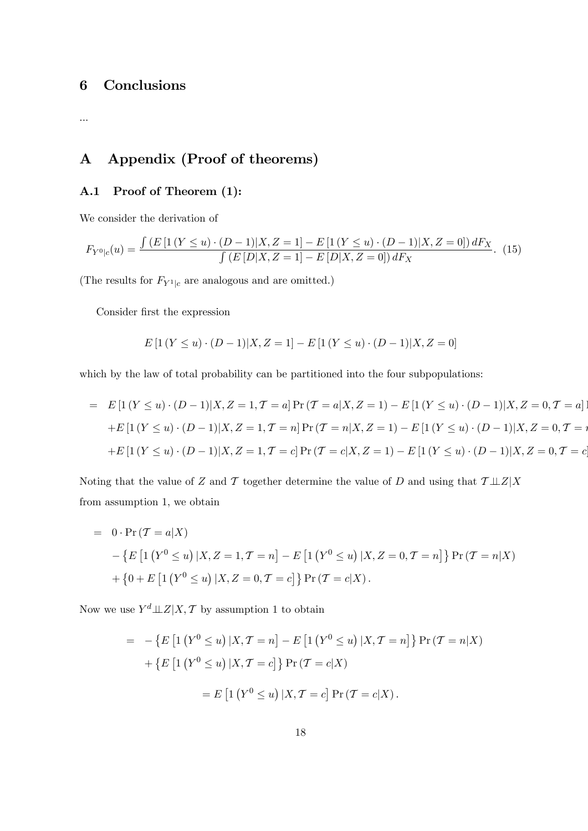## 6 Conclusions

...

# A Appendix (Proof of theorems)

## A.1 Proof of Theorem (1):

We consider the derivation of

$$
F_{Y^0|c}(u) = \frac{\int (E\left[1\left(Y \le u\right) \cdot (D-1)|X,Z=1\right] - E\left[1\left(Y \le u\right) \cdot (D-1)|X,Z=0\right])dF_X}{\int (E\left[D|X,Z=1\right] - E\left[D|X,Z=0\right])dF_X}.
$$
 (15)

(The results for  $F_{Y^1|c}$  are analogous and are omitted.)

Consider first the expression

$$
E\left[1\left(Y \le u\right) \cdot (D-1)|X, Z=1\right] - E\left[1\left(Y \le u\right) \cdot (D-1)|X, Z=0\right]
$$

which by the law of total probability can be partitioned into the four subpopulations:

$$
= E[1(Y \le u) \cdot (D-1)|X, Z = 1, T = a] Pr(T = a|X, Z = 1) - E[1(Y \le u) \cdot (D-1)|X, Z = 0, T = a]
$$
  
+
$$
E[1(Y \le u) \cdot (D-1)|X, Z = 1, T = n] Pr(T = n|X, Z = 1) - E[1(Y \le u) \cdot (D-1)|X, Z = 0, T = n]
$$
  
+
$$
E[1(Y \le u) \cdot (D-1)|X, Z = 1, T = c] Pr(T = c|X, Z = 1) - E[1(Y \le u) \cdot (D-1)|X, Z = 0, T = c]
$$

Noting that the value of Z and T together determine the value of D and using that  $\mathcal{T} \perp \!\!\! \perp Z \mid X$ from assumption 1, we obtain

= 0 · Pr (
$$
\mathcal{T} = a|X
$$
)  
\n- { $E [1 (Y^0 \le u) | X, Z = 1, \mathcal{T} = n] - E [1 (Y^0 \le u) | X, Z = 0, \mathcal{T} = n]$ } Pr ( $\mathcal{T} = n | X$ )  
\n+ {0 + E [1 (Y^0 \le u) | X, Z = 0, \mathcal{T} = c]} Pr ( $\mathcal{T} = c | X$ ).

Now we use  $Y^d \perp Z | X, \mathcal{T}$  by assumption 1 to obtain

$$
= -\{E \left[1 (Y^0 \le u) | X, T = n\right] - E \left[1 (Y^0 \le u) | X, T = n\right]\} \Pr(T = n | X)
$$

$$
+ \{E \left[1 (Y^0 \le u) | X, T = c\right]\} \Pr(T = c | X)
$$

$$
= E \left[1 (Y^0 \le u) | X, T = c\right] \Pr(T = c | X).
$$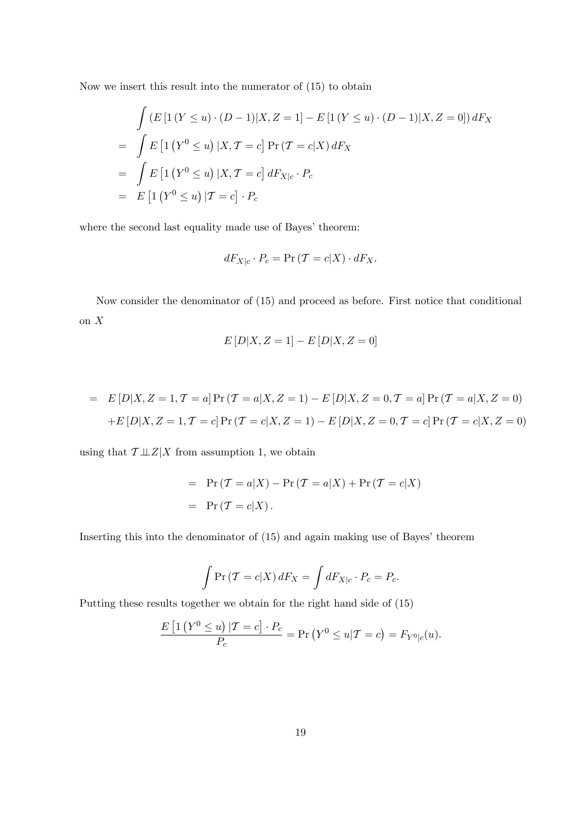Now we insert this result into the numerator of (15) to obtain

$$
\int (E [1 (Y \le u) \cdot (D - 1) | X, Z = 1] - E [1 (Y \le u) \cdot (D - 1) | X, Z = 0]) dF_X
$$
  
= 
$$
\int E [1 (Y^0 \le u) | X, T = c] Pr (T = c | X) dF_X
$$
  
= 
$$
\int E [1 (Y^0 \le u) | X, T = c] dF_{X|c} \cdot P_c
$$
  
= 
$$
E [1 (Y^0 \le u) | T = c] \cdot P_c
$$

where the second last equality made use of Bayes' theorem:

$$
dF_{X|c} \cdot P_c = \Pr\left(\mathcal{T} = c|X\right) \cdot dF_X.
$$

Now consider the denominator of (15) and proceed as before. First notice that conditional on X

$$
E[D|X, Z=1] - E[D|X, Z=0]
$$

= 
$$
E[D|X, Z = 1, T = a]
$$
 Pr  $(T = a|X, Z = 1) - E[D|X, Z = 0, T = a]$  Pr  $(T = a|X, Z = 0)$   
+ $E[D|X, Z = 1, T = c]$  Pr  $(T = c|X, Z = 1) - E[D|X, Z = 0, T = c]$  Pr  $(T = c|X, Z = 0)$ 

using that  $\mathcal{T} \perp \!\!\! \perp Z \mid X$  from assumption 1, we obtain

= 
$$
Pr(T = a|X) - Pr(T = a|X) + Pr(T = c|X)
$$
  
=  $Pr(T = c|X)$ .

Inserting this into the denominator of  $(15)$  and again making use of Bayes' theorem

$$
\int \Pr(T = c|X) dF_X = \int dF_{X|c} \cdot P_c = P_c.
$$

Putting these results together we obtain for the right hand side of (15)

$$
\frac{E\left[1\left(Y^{0} \leq u\right) | \mathcal{T} = c\right] \cdot P_{c}}{P_{c}} = \Pr\left(Y^{0} \leq u | \mathcal{T} = c\right) = F_{Y^{0}|c}(u).
$$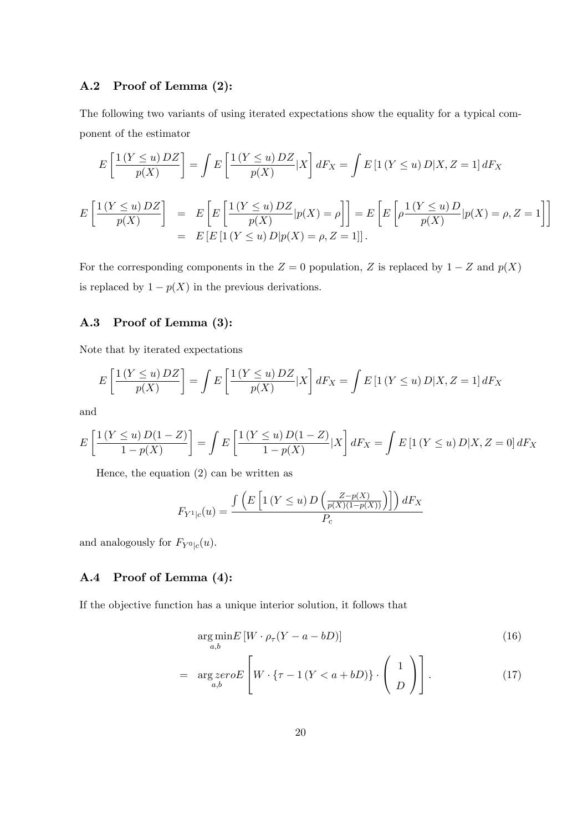### A.2 Proof of Lemma (2):

The following two variants of using iterated expectations show the equality for a typical component of the estimator

$$
E\left[\frac{1(Y \le u)DZ}{p(X)}\right] = \int E\left[\frac{1(Y \le u)DZ}{p(X)}|X\right]dF_X = \int E\left[1(Y \le u)D|X, Z = 1\right]dF_X
$$
  

$$
E\left[\frac{1(Y \le u)DZ}{p(X)}\right] = E\left[E\left[\frac{1(Y \le u)DZ}{p(X)}|p(X) = \rho\right]\right] = E\left[E\left[\rho\frac{1(Y \le u)D}{p(X)}|p(X) = \rho, Z = 1\right]\right]
$$
  

$$
= E\left[E\left[1(Y \le u)D|p(X) = \rho, Z = 1\right]\right].
$$

For the corresponding components in the  $Z = 0$  population, Z is replaced by  $1 - Z$  and  $p(X)$ is replaced by  $1 - p(X)$  in the previous derivations.

## A.3 Proof of Lemma (3):

Note that by iterated expectations

$$
E\left[\frac{1\left(Y \le u\right)DZ}{p(X)}\right] = \int E\left[\frac{1\left(Y \le u\right)DZ}{p(X)}|X\right]dF_X = \int E\left[1\left(Y \le u\right)D|X, Z = 1\right]dF_X
$$

and

$$
E\left[\frac{1(Y \le u) D(1 - Z)}{1 - p(X)}\right] = \int E\left[\frac{1(Y \le u) D(1 - Z)}{1 - p(X)} | X\right] dF_X = \int E\left[1(Y \le u) D | X, Z = 0\right] dF_X
$$

Hence, the equation (2) can be written as

$$
F_{Y^{1}|c}(u) = \frac{\int \left( E\left[1\left(Y \le u\right)D\left(\frac{Z - p(X)}{p(X)(1 - p(X))}\right)\right]\right) dF_X}{P_c}
$$

and analogously for  $F_{Y^0|c}(u)$ .

## A.4 Proof of Lemma (4):

If the objective function has a unique interior solution, it follows that

$$
\underset{a,b}{\arg\min} E\left[W \cdot \rho_{\tau}(Y - a - bD)\right] \tag{16}
$$

$$
= \underset{a,b}{\arg\,zero} E\left[W \cdot \{\tau - 1\,(Y < a + bD)\} \cdot \left(\begin{array}{c}1\\D\end{array}\right)\right].\tag{17}
$$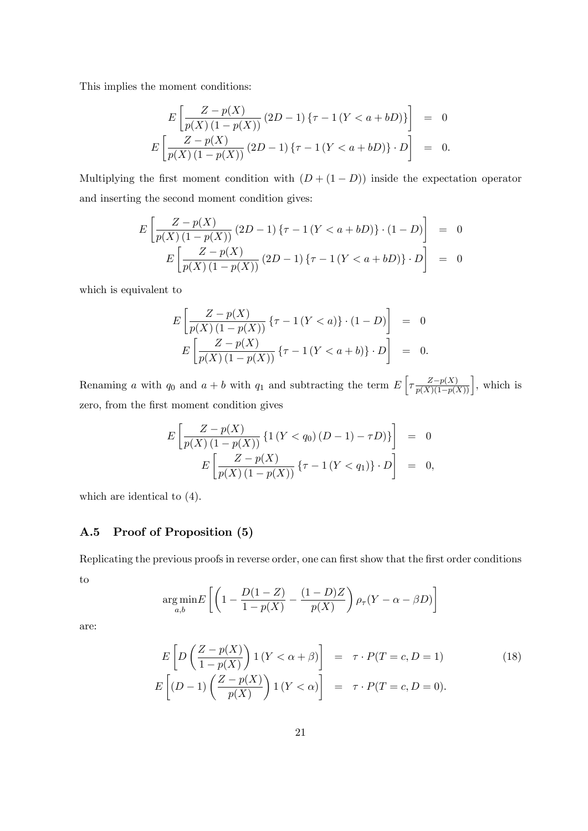This implies the moment conditions:

$$
E\left[\frac{Z - p(X)}{p(X)(1 - p(X))} (2D - 1) \{\tau - 1(Y < a + bD)\}\right] = 0
$$
  

$$
E\left[\frac{Z - p(X)}{p(X)(1 - p(X))} (2D - 1) \{\tau - 1(Y < a + bD)\} \cdot D\right] = 0.
$$

Multiplying the first moment condition with  $(D + (1 - D))$  inside the expectation operator and inserting the second moment condition gives:

$$
E\left[\frac{Z - p(X)}{p(X)(1 - p(X))} (2D - 1) \{\tau - 1 (Y < a + bD)\} \cdot (1 - D)\right] = 0
$$
  

$$
E\left[\frac{Z - p(X)}{p(X)(1 - p(X))} (2D - 1) \{\tau - 1 (Y < a + bD)\} \cdot D\right] = 0
$$

which is equivalent to

$$
E\left[\frac{Z - p(X)}{p(X)(1 - p(X))} \{ \tau - 1(Y < a) \} \cdot (1 - D) \right] = 0
$$
\n
$$
E\left[\frac{Z - p(X)}{p(X)(1 - p(X))} \{ \tau - 1(Y < a + b) \} \cdot D \right] = 0.
$$

Renaming a with  $q_0$  and  $a + b$  with  $q_1$  and subtracting the term  $E\left[\tau \frac{Z-p(X)}{p(X)(1-p(X))}\right]$ , which is zero, from the first moment condition gives

$$
E\left[\frac{Z - p(X)}{p(X)(1 - p(X))} \{1 (Y < q_0)(D - 1) - \tau D)\}\right] = 0
$$
\n
$$
E\left[\frac{Z - p(X)}{p(X)(1 - p(X))} \{\tau - 1 (Y < q_1)\} \cdot D\right] = 0,
$$

which are identical to (4).

### A.5 Proof of Proposition (5)

Replicating the previous proofs in reverse order, one can first show that the first order conditions to

$$
\underset{a,b}{\arg\min} E\left[\left(1 - \frac{D(1-Z)}{1 - p(X)} - \frac{(1-D)Z}{p(X)}\right)\rho_{\tau}(Y - \alpha - \beta D)\right]
$$

are:

$$
E\left[D\left(\frac{Z-p(X)}{1-p(X)}\right)1(Y<\alpha+\beta)\right] = \tau \cdot P(T=c, D=1)
$$
\n
$$
E\left[(D-1)\left(\frac{Z-p(X)}{p(X)}\right)1(Y<\alpha)\right] = \tau \cdot P(T=c, D=0).
$$
\n(18)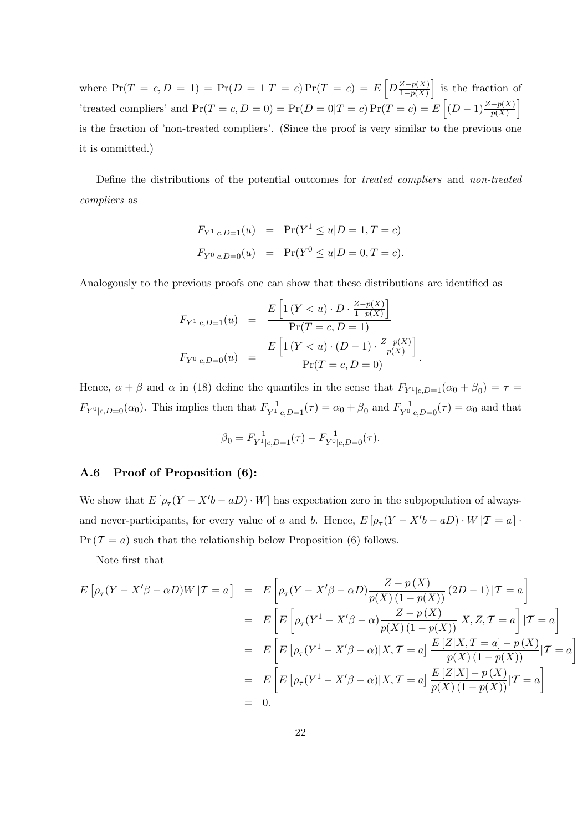where  $Pr(T = c, D = 1) = Pr(D = 1|T = c) Pr(T = c) = E\left[D\frac{Z - p(X)}{1 - p(X)}\right]$  $1-p(X)$ i is the fraction of 'treated compliers' and  $Pr(T = c, D = 0) = Pr(D = 0|T = c) Pr(T = c) = E\left[(D - 1)\frac{Z - p(X)}{p(X)}\right]$ i is the fraction of 'non-treated compliers'. (Since the proof is very similar to the previous one it is ommitted.)

Define the distributions of the potential outcomes for *treated compliers* and *non-treated* compliers as

$$
F_{Y^1|c, D=1}(u) = \Pr(Y^1 \le u | D=1, T=c)
$$
  

$$
F_{Y^0|c, D=0}(u) = \Pr(Y^0 \le u | D=0, T=c).
$$

Analogously to the previous proofs one can show that these distributions are identified as

$$
F_{Y^1|c,D=1}(u) = \frac{E\left[1\left(Y < u\right) \cdot D \cdot \frac{Z - p(X)}{1 - p(X)}\right]}{\Pr(T = c, D = 1)}
$$

$$
F_{Y^0|c,D=0}(u) = \frac{E\left[1\left(Y < u\right) \cdot (D - 1) \cdot \frac{Z - p(X)}{p(X)}\right]}{\Pr(T = c, D = 0)}.
$$

Hence,  $\alpha + \beta$  and  $\alpha$  in (18) define the quantiles in the sense that  $F_{Y}|_{c,D=1}(\alpha_0 + \beta_0) = \tau =$  $F_{Y^0|c,D=0}(\alpha_0)$ . This implies then that  $F_{Y^1|c,D=1}^{-1}(\tau) = \alpha_0 + \beta_0$  and  $F_{Y^0|c,D=0}^{-1}(\tau) = \alpha_0$  and that

$$
\beta_0 = F_{Y^1|c,D=1}^{-1}(\tau) - F_{Y^0|c,D=0}^{-1}(\tau).
$$

### A.6 Proof of Proposition (6):

We show that  $E[\rho_\tau(Y - X'b - aD) \cdot W]$  has expectation zero in the subpopulation of alwaysand never-participants, for every value of a and b. Hence,  $E[\rho_\tau(Y - X'b - aD) \cdot W | \mathcal{T} = a]$ .  $Pr(T = a)$  such that the relationship below Proposition (6) follows.

Note Örst that

$$
E\left[\rho_{\tau}(Y - X'\beta - \alpha D)W | \mathcal{T} = a\right] = E\left[\rho_{\tau}(Y - X'\beta - \alpha D)\frac{Z - p(X)}{p(X)(1 - p(X))}(2D - 1)|\mathcal{T} = a\right]
$$
  
\n
$$
= E\left[E\left[\rho_{\tau}(Y^1 - X'\beta - \alpha)\frac{Z - p(X)}{p(X)(1 - p(X))}|X, Z, \mathcal{T} = a\right]|\mathcal{T} = a\right]
$$
  
\n
$$
= E\left[E\left[\rho_{\tau}(Y^1 - X'\beta - \alpha)|X, \mathcal{T} = a\right]\frac{E[Z|X, \mathcal{T} = a] - p(X)}{p(X)(1 - p(X))}|\mathcal{T} = a\right]
$$
  
\n
$$
= E\left[E\left[\rho_{\tau}(Y^1 - X'\beta - \alpha)|X, \mathcal{T} = a\right]\frac{E[Z|X] - p(X)}{p(X)(1 - p(X))}|\mathcal{T} = a\right]
$$
  
\n
$$
= 0.
$$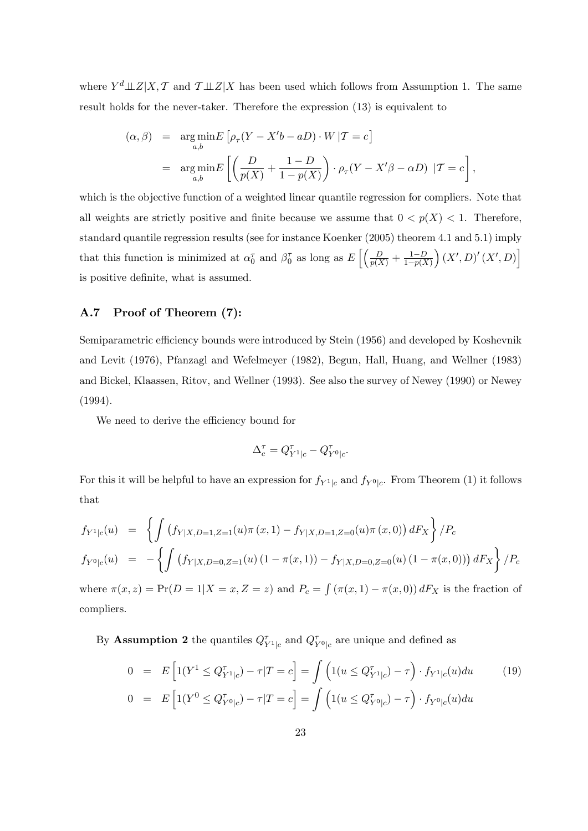where  $Y^d \perp Z | X, \mathcal{T}$  and  $\mathcal{T} \perp Z | X$  has been used which follows from Assumption 1. The same result holds for the never-taker. Therefore the expression (13) is equivalent to

$$
(\alpha, \beta) = \underset{a,b}{\arg\min} E \left[ \rho_{\tau} (Y - X'b - aD) \cdot W | T = c \right]
$$
  
= 
$$
\underset{a,b}{\arg\min} E \left[ \left( \frac{D}{p(X)} + \frac{1 - D}{1 - p(X)} \right) \cdot \rho_{\tau} (Y - X'\beta - \alpha D) | T = c \right],
$$

which is the objective function of a weighted linear quantile regression for compliers. Note that all weights are strictly positive and finite because we assume that  $0 < p(X) < 1$ . Therefore, standard quantile regression results (see for instance Koenker (2005) theorem 4.1 and 5.1) imply that this function is minimized at  $\alpha_0^{\tau}$  and  $\beta_0^{\tau}$  as long as  $E\left[\left(\frac{D}{p(X)} + \frac{1-D}{1-p(X)}\right)\right]$  $1-p(X)$  $(X', D)'(X', D)$ is positive definite, what is assumed.

### A.7 Proof of Theorem (7):

Semiparametric efficiency bounds were introduced by Stein (1956) and developed by Koshevnik and Levit (1976), Pfanzagl and Wefelmeyer (1982), Begun, Hall, Huang, and Wellner (1983) and Bickel, Klaassen, Ritov, and Wellner (1993). See also the survey of Newey (1990) or Newey (1994).

We need to derive the efficiency bound for

$$
\Delta_c^\tau=Q_{Y^1|c}^\tau-Q_{Y^0|c}^\tau.
$$

For this it will be helpful to have an expression for  $f_{Y^1|c}$  and  $f_{Y^0|c}$ . From Theorem (1) it follows that

$$
f_{Y^1|c}(u) = \left\{ \int \left( f_{Y|X,D=1,Z=1}(u)\pi(x,1) - f_{Y|X,D=1,Z=0}(u)\pi(x,0) \right) dF_X \right\} / P_c
$$
  
\n
$$
f_{Y^0|c}(u) = -\left\{ \int \left( f_{Y|X,D=0,Z=1}(u) \left( 1 - \pi(x,1) \right) - f_{Y|X,D=0,Z=0}(u) \left( 1 - \pi(x,0) \right) \right) dF_X \right\} / P_c
$$

where  $\pi(x, z) = Pr(D = 1 | X = x, Z = z)$  and  $P_c = \int (\pi(x, 1) - \pi(x, 0)) dF_X$  is the fraction of compliers.

By **Assumption 2** the quantiles  $Q_{Y^1|c}^{\tau}$  and  $Q_{Y^0|c}^{\tau}$  are unique and defined as

$$
0 = E\left[1(Y^1 \leq Q_{Y^1|c}^{\tau}) - \tau | T = c\right] = \int \left(1(u \leq Q_{Y^1|c}^{\tau}) - \tau\right) \cdot f_{Y^1|c}(u) du \qquad (19)
$$

$$
0 = E\left[1(Y^0 \leq Q_{Y^0|c}^{\tau}) - \tau | T = c\right] = \int \left(1(u \leq Q_{Y^0|c}^{\tau}) - \tau\right) \cdot f_{Y^0|c}(u) du
$$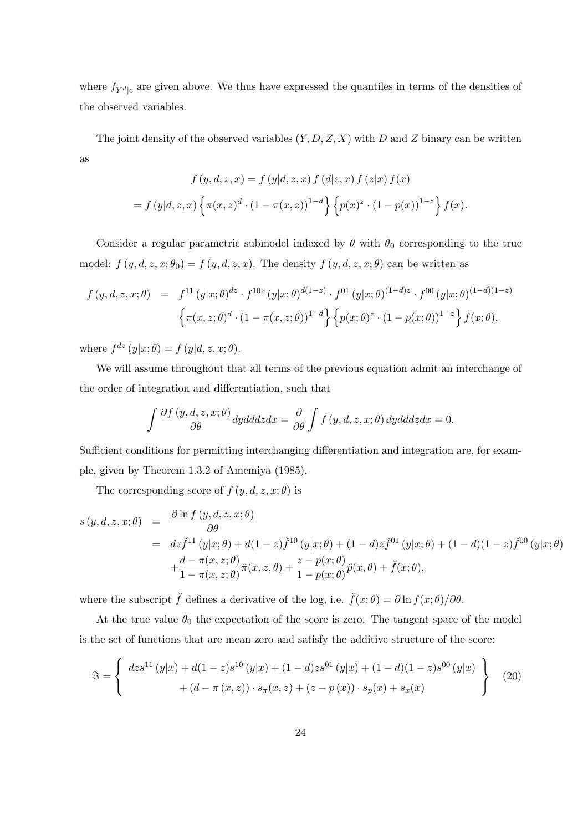where  $f_{Y^d|c}$  are given above. We thus have expressed the quantiles in terms of the densities of the observed variables.

The joint density of the observed variables  $(Y, D, Z, X)$  with D and Z binary can be written as

$$
f(y, d, z, x) = f(y|d, z, x) f(d|z, x) f(z|x) f(x)
$$

$$
= f(y|d, z, x) \left\{ \pi(x, z)^d \cdot (1 - \pi(x, z))^{1-d} \right\} \left\{ p(x)^z \cdot (1 - p(x))^{1-z} \right\} f(x).
$$

Consider a regular parametric submodel indexed by  $\theta$  with  $\theta_0$  corresponding to the true model:  $f(y, d, z, x; \theta_0) = f(y, d, z, x)$ . The density  $f(y, d, z, x; \theta)$  can be written as

$$
f(y, d, z, x; \theta) = f^{11}(y|x; \theta)^{dz} \cdot f^{10z}(y|x; \theta)^{d(1-z)} \cdot f^{01}(y|x; \theta)^{(1-d)z} \cdot f^{00}(y|x; \theta)^{(1-d)(1-z)} \left\{ \pi(x, z; \theta)^d \cdot (1 - \pi(x, z; \theta))^{1-d} \right\} \left\{ p(x; \theta)^z \cdot (1 - p(x; \theta))^{1-z} \right\} f(x; \theta),
$$

where  $f^{dz}(y|x;\theta) = f(y|d, z, x; \theta)$ .

We will assume throughout that all terms of the previous equation admit an interchange of the order of integration and differentiation, such that

$$
\int \frac{\partial f(y, d, z, x; \theta)}{\partial \theta} dy d\theta dz dx = \frac{\partial}{\partial \theta} \int f(y, d, z, x; \theta) dy d\theta dz dx = 0.
$$

Sufficient conditions for permitting interchanging differentiation and integration are, for example, given by Theorem 1.3.2 of Amemiya (1985).

The corresponding score of  $f(y, d, z, x; \theta)$  is

$$
s(y, d, z, x; \theta) = \frac{\partial \ln f(y, d, z, x; \theta)}{\partial \theta}
$$
  
=  $dz \check{f}^{11}(y|x; \theta) + d(1-z)\check{f}^{10}(y|x; \theta) + (1-d)z\check{f}^{01}(y|x; \theta) + (1-d)(1-z)\check{f}^{00}(y|x; \theta)$   
+  $\frac{d - \pi(x, z; \theta)}{1 - \pi(x, z; \theta)}\check{\pi}(x, z, \theta) + \frac{z - p(x; \theta)}{1 - p(x; \theta)}\check{p}(x, \theta) + \check{f}(x; \theta),$ 

where the subscript  $\check{f}$  defines a derivative of the log, i.e.  $\check{f}(x;\theta) = \partial \ln f(x;\theta)/\partial \theta$ .

At the true value  $\theta_0$  the expectation of the score is zero. The tangent space of the model is the set of functions that are mean zero and satisfy the additive structure of the score:

$$
\Im = \left\{ \begin{array}{c} dz s^{11}(y|x) + d(1-z)s^{10}(y|x) + (1-d)zs^{01}(y|x) + (1-d)(1-z)s^{00}(y|x) \\ + (d - \pi(x,z)) \cdot s_{\pi}(x,z) + (z - p(x)) \cdot s_{p}(x) + s_{x}(x) \end{array} \right\} \tag{20}
$$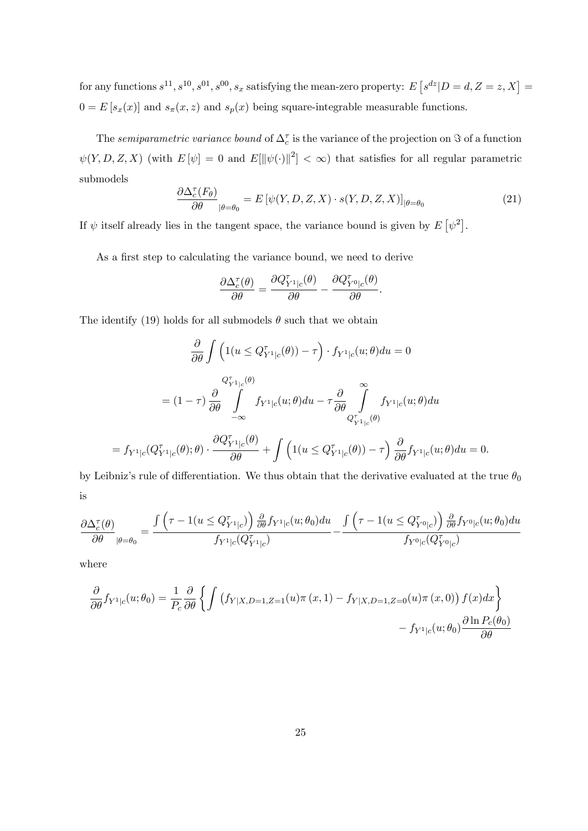for any functions  $s^{11}, s^{10}, s^{01}, s^{00}, s_x$  satisfying the mean-zero property:  $E[s^{dz}|D = d, Z = z, X] =$  $0 = E[s_x(x)]$  and  $s_x(x, z)$  and  $s_y(x)$  being square-integrable measurable functions.

The *semiparametric variance bound* of  $\Delta_c^{\tau}$  is the variance of the projection on  $\Im$  of a function  $\psi(Y, D, Z, X)$  (with  $E[\psi] = 0$  and  $E[\psi(\cdot) \|^{2}] < \infty$ ) that satisfies for all regular parametric submodels

$$
\frac{\partial \Delta_{c}^{\tau}(F_{\theta})}{\partial \theta}_{|\theta=\theta_{0}} = E\left[\psi(Y,D,Z,X) \cdot s(Y,D,Z,X)\right]_{|\theta=\theta_{0}}
$$
\n(21)

If  $\psi$  itself already lies in the tangent space, the variance bound is given by  $E[\psi^2]$ .

As a first step to calculating the variance bound, we need to derive

$$
\frac{\partial \Delta_c^{\tau}(\theta)}{\partial \theta} = \frac{\partial Q_{Y^1|c}^{\tau}(\theta)}{\partial \theta} - \frac{\partial Q_{Y^0|c}^{\tau}(\theta)}{\partial \theta}.
$$

The identify (19) holds for all submodels  $\theta$  such that we obtain

$$
\frac{\partial}{\partial \theta} \int \left( 1(u \leq Q_{Y^1|c}^{\tau}(\theta)) - \tau \right) \cdot f_{Y^1|c}(u; \theta) du = 0
$$
\n
$$
= (1 - \tau) \frac{\partial}{\partial \theta} \int_{-\infty}^{Q_{Y^1|c}^{\tau}(\theta)} f_{Y^1|c}(u; \theta) du - \tau \frac{\partial}{\partial \theta} \int_{Q_{Y^1|c}^{\tau}(\theta)}^{\infty} f_{Y^1|c}(u; \theta) du
$$
\n
$$
= f_{Y^1|c}(Q_{Y^1|c}^{\tau}(\theta); \theta) \cdot \frac{\partial Q_{Y^1|c}^{\tau}(\theta)}{\partial \theta} + \int \left( 1(u \leq Q_{Y^1|c}^{\tau}(\theta)) - \tau \right) \frac{\partial}{\partial \theta} f_{Y^1|c}(u; \theta) du = 0.
$$

by Leibniz's rule of differentiation. We thus obtain that the derivative evaluated at the true  $\theta_0$ is

$$
\frac{\partial \Delta_{c}^{\tau}(\theta)}{\partial \theta}_{|\theta=\theta_0}=\frac{\int \left(\tau-1(u\leq Q_{Y^1|c}^{\tau})\right)\frac{\partial}{\partial \theta}f_{Y^1|c}(u;\theta_0)du}{f_{Y^1|c}(Q_{Y^1|c}^{\tau})}-\frac{\int \left(\tau-1(u\leq Q_{Y^0|c}^{\tau})\right)\frac{\partial}{\partial \theta}f_{Y^0|c}(u;\theta_0)du}{f_{Y^0|c}(Q_{Y^0|c}^{\tau})}
$$

where

$$
\frac{\partial}{\partial \theta} f_{Y^1|c}(u; \theta_0) = \frac{1}{P_c} \frac{\partial}{\partial \theta} \left\{ \int \left( f_{Y|X, D=1, Z=1}(u) \pi(x, 1) - f_{Y|X, D=1, Z=0}(u) \pi(x, 0) \right) f(x) dx \right\} - f_{Y^1|c}(u; \theta_0) \frac{\partial \ln P_c(\theta_0)}{\partial \theta}
$$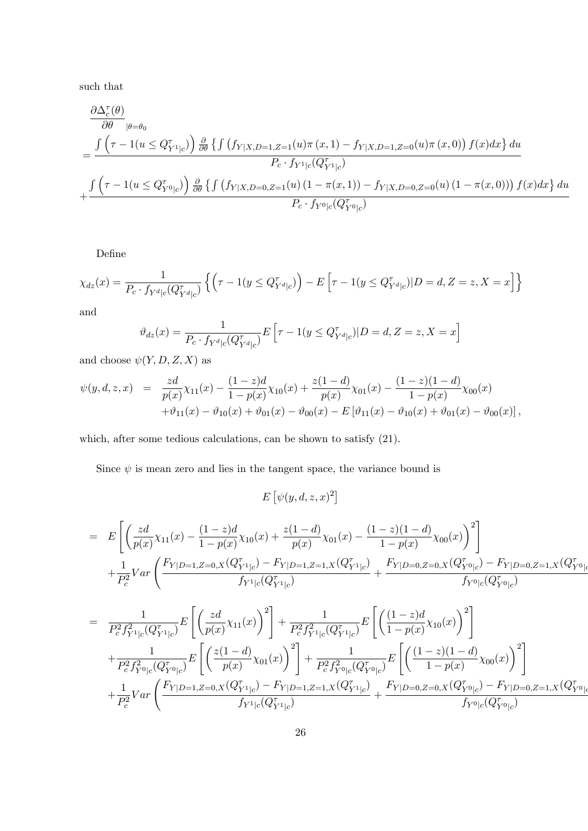such that

$$
\frac{\partial \Delta_{c}^{\tau}(\theta)}{\partial \theta}_{|\theta=\theta_{0}} \\
= \frac{\int \left(\tau - 1(u \leq Q_{Y^{1}|c}^{\tau})\right) \frac{\partial}{\partial \theta} \left\{\int \left(f_{Y|X,D=1,Z=1}(u)\pi(x,1) - f_{Y|X,D=1,Z=0}(u)\pi(x,0)\right) f(x)dx\right\} du}{P_{c} \cdot f_{Y^{1}|c}(Q_{Y^{1}|c}^{\tau})} \\
+ \frac{\int \left(\tau - 1(u \leq Q_{Y^{0}|c}^{\tau})\right) \frac{\partial}{\partial \theta} \left\{\int \left(f_{Y|X,D=0,Z=1}(u)(1-\pi(x,1)) - f_{Y|X,D=0,Z=0}(u)(1-\pi(x,0))\right) f(x)dx\right\} du}{P_{c} \cdot f_{Y^{0}|c}(Q_{Y^{0}|c}^{\tau})}
$$

Define

$$
\chi_{dz}(x) = \frac{1}{P_c \cdot f_{Y^d|c}(Q_{Y^d|c}^{\tau})} \left\{ \left( \tau - 1(y \leq Q_{Y^d|c}^{\tau}) \right) - E\left[ \tau - 1(y \leq Q_{Y^d|c}^{\tau}) | D = d, Z = z, X = x \right] \right\}
$$

and

$$
\vartheta_{dz}(x) = \frac{1}{P_c \cdot f_{Y^d|c}(Q_{Y^d|c}^{\tau})} E\left[\tau - 1(y \leq Q_{Y^d|c}^{\tau})|D = d, Z = z, X = x\right]
$$

and choose  $\psi(Y, D, Z, X)$  as

$$
\psi(y, d, z, x) = \frac{z d}{p(x)} \chi_{11}(x) - \frac{(1-z)d}{1-p(x)} \chi_{10}(x) + \frac{z(1-d)}{p(x)} \chi_{01}(x) - \frac{(1-z)(1-d)}{1-p(x)} \chi_{00}(x) \n+ \vartheta_{11}(x) - \vartheta_{10}(x) + \vartheta_{01}(x) - \vartheta_{00}(x) - E[\vartheta_{11}(x) - \vartheta_{10}(x) + \vartheta_{01}(x) - \vartheta_{00}(x)],
$$

which, after some tedious calculations, can be shown to satisfy (21).

Since  $\psi$  is mean zero and lies in the tangent space, the variance bound is

 $E\left[\psi(y,d,z,x)^2\right]$ 

$$
= E\left[\left(\frac{zd}{p(x)}\chi_{11}(x) - \frac{(1-z)d}{1-p(x)}\chi_{10}(x) + \frac{z(1-d)}{p(x)}\chi_{01}(x) - \frac{(1-z)(1-d)}{1-p(x)}\chi_{00}(x)\right)^2\right] + \frac{1}{P_c^2}Var\left(\frac{F_{Y|D=1,Z=0,X}(Q_{Y^1|c}^{\tau}) - F_{Y|D=1,Z=1,X}(Q_{Y^1|c}^{\tau})}{f_{Y^1|c}(Q_{Y^1|c}^{\tau})} + \frac{F_{Y|D=0,Z=0,X}(Q_{Y^0|c}^{\tau}) - F_{Y|D=0,Z=1,X}(Q_{Y^0|c}^{\tau})}{f_{Y^0|c}(Q_{Y^0|c}^{\tau})} \right]
$$

$$
= \frac{1}{P_c^2 f_{Y^1|c}^2 (Q_{Y^1|c}^{\tau})} E \left[ \left( \frac{zd}{p(x)} \chi_{11}(x) \right)^2 \right] + \frac{1}{P_c^2 f_{Y^1|c}^2 (Q_{Y^1|c}^{\tau})} E \left[ \left( \frac{(1-z)d}{1-p(x)} \chi_{10}(x) \right)^2 \right] + \frac{1}{P_c^2 f_{Y^0|c}^2 (Q_{Y^0|c}^{\tau})} E \left[ \left( \frac{z(1-d)}{p(x)} \chi_{01}(x) \right)^2 \right] + \frac{1}{P_c^2 f_{Y^0|c}^2 (Q_{Y^0|c}^{\tau})} E \left[ \left( \frac{(1-z)(1-d)}{1-p(x)} \chi_{00}(x) \right)^2 \right] + \frac{1}{P_c^2} Var \left( \frac{F_{Y|D=1,Z=0,X}(Q_{Y^1|c}^{\tau}) - F_{Y|D=1,Z=1,X}(Q_{Y^1|c}^{\tau})}{f_{Y^1|c}(Q_{Y^1|c}^{\tau})} + \frac{F_{Y|D=0,Z=0,X}(Q_{Y^0|c}^{\tau}) - F_{Y|D=0,Z=1,X}(Q_{Y^0|c}^{\tau})}{f_{Y^0|c}(Q_{Y^0|c}^{\tau})} \right]
$$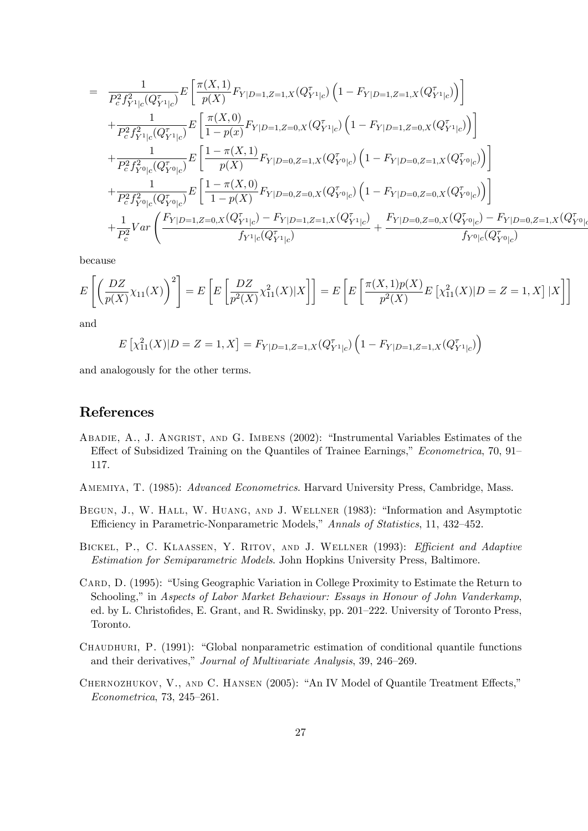$$
= \frac{1}{P_c^2 f_{Y^1|c}^2 (Q_{Y^1|c}^{\tau})} E \left[ \frac{\pi(X,1)}{p(X)} F_{Y|D=1,Z=1,X}(Q_{Y^1|c}^{\tau}) \left(1 - F_{Y|D=1,Z=1,X}(Q_{Y^1|c}^{\tau}) \right) \right] + \frac{1}{P_c^2 f_{Y^1|c}^2 (Q_{Y^1|c}^{\tau})} E \left[ \frac{\pi(X,0)}{1 - p(x)} F_{Y|D=1,Z=0,X}(Q_{Y^1|c}^{\tau}) \left(1 - F_{Y|D=1,Z=0,X}(Q_{Y^1|c}^{\tau}) \right) \right] + \frac{1}{P_c^2 f_{Y^0|c}^2 (Q_{Y^0|c}^{\tau})} E \left[ \frac{1 - \pi(X,1)}{p(X)} F_{Y|D=0,Z=1,X}(Q_{Y^0|c}^{\tau}) \left(1 - F_{Y|D=0,Z=1,X}(Q_{Y^0|c}^{\tau}) \right) \right] + \frac{1}{P_c^2 f_{Y^0|c}^2 (Q_{Y^0|c}^{\tau})} E \left[ \frac{1 - \pi(X,0)}{1 - p(X)} F_{Y|D=0,Z=0,X}(Q_{Y^0|c}^{\tau}) \left(1 - F_{Y|D=0,Z=0,X}(Q_{Y^0|c}^{\tau}) \right) \right] + \frac{1}{P_c^2} Var \left( \frac{F_{Y|D=1,Z=0,X}(Q_{Y^1|c}^{\tau}) - F_{Y|D=1,Z=1,X}(Q_{Y^1|c}^{\tau})}{f_{Y^1|c}(Q_{Y^1|c}^{\tau})} + \frac{F_{Y|D=0,Z=0,X}(Q_{Y^0|c}^{\tau}) - F_{Y|D=0,Z=1,X}(Q_{Y^0|c}^{\tau})}{f_{Y^0|c}(Q_{Y^0|c}^{\tau})} \right)
$$

because

$$
E\left[\left(\frac{DZ}{p(X)}\chi_{11}(X)\right)^2\right] = E\left[E\left[\frac{DZ}{p^2(X)}\chi_{11}^2(X)|X\right]\right] = E\left[E\left[\frac{\pi(X,1)p(X)}{p^2(X)}E\left[\chi_{11}^2(X)|D=Z=1,X\right]|X\right]\right]
$$

and

$$
E\left[\chi_{11}^2(X)|D = Z = 1, X\right] = F_{Y|D=1, Z=1, X}(Q_{Y^1|c}^{\tau}) \left(1 - F_{Y|D=1, Z=1, X}(Q_{Y^1|c}^{\tau})\right)
$$

and analogously for the other terms.

## References

- ABADIE, A., J. ANGRIST, AND G. IMBENS (2002): "Instrumental Variables Estimates of the Effect of Subsidized Training on the Quantiles of Trainee Earnings," *Econometrica*, 70, 91– 117.
- Amemiya, T. (1985): Advanced Econometrics. Harvard University Press, Cambridge, Mass.
- BEGUN, J., W. HALL, W. HUANG, AND J. WELLNER (1983): "Information and Asymptotic Efficiency in Parametric-Nonparametric Models," Annals of Statistics, 11, 432-452.
- BICKEL, P., C. KLAASSEN, Y. RITOV, AND J. WELLNER (1993): Efficient and Adaptive Estimation for Semiparametric Models. John Hopkins University Press, Baltimore.
- CARD, D. (1995): "Using Geographic Variation in College Proximity to Estimate the Return to Schooling," in Aspects of Labor Market Behaviour: Essays in Honour of John Vanderkamp, ed. by L. Christofides, E. Grant, and R. Swidinsky, pp. 201–222. University of Toronto Press, Toronto.
- CHAUDHURI, P. (1991): "Global nonparametric estimation of conditional quantile functions and their derivatives," Journal of Multivariate Analysis, 39, 246–269.
- CHERNOZHUKOV, V., AND C. HANSEN (2005): "An IV Model of Quantile Treatment Effects,"  $Econometrica, 73, 245-261.$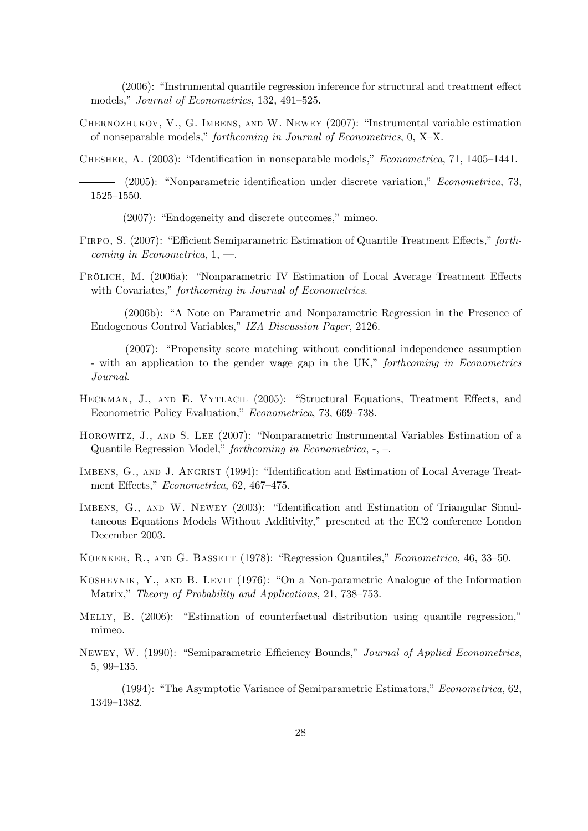$(2006)$ : "Instrumental quantile regression inference for structural and treatment effect models," Journal of Econometrics, 132, 491-525.

CHERNOZHUKOV, V., G. IMBENS, AND W. NEWEY (2007): "Instrumental variable estimation of nonseparable models," forthcoming in Journal of Econometrics,  $0, X-X$ .

CHESHER, A.  $(2003)$ : "Identification in nonseparable models," *Econometrica*, 71, 1405–1441.

(2005): "Nonparametric identification under discrete variation," Econometrica, 73,  $1525 - 1550.$ 

- (2007): "Endogeneity and discrete outcomes," mimeo.
- FIRPO, S. (2007): "Efficient Semiparametric Estimation of Quantile Treatment Effects," forthcoming in Econometrica,  $1, -1$ .
- FRÖLICH, M. (2006a): "Nonparametric IV Estimation of Local Average Treatment Effects with Covariates," forthcoming in Journal of Econometrics.

(2006b): "A Note on Parametric and Nonparametric Regression in the Presence of Endogenous Control Variables," IZA Discussion Paper, 2126.

- (2007): "Propensity score matching without conditional independence assumption - with an application to the gender wage gap in the UK," forthcoming in Econometrics Journal.
- HECKMAN, J., AND E. VYTLACIL (2005): "Structural Equations, Treatment Effects, and Econometric Policy Evaluation," Econometrica, 73, 669-738.
- HOROWITZ, J., AND S. LEE (2007): "Nonparametric Instrumental Variables Estimation of a Quantile Regression Model," forthcoming in Econometrica,  $-$ ,  $-$ .
- IMBENS, G., AND J. ANGRIST (1994): "Identification and Estimation of Local Average Treatment Effects," Econometrica, 62, 467-475.
- IMBENS, G., AND W. NEWEY (2003): "Identification and Estimation of Triangular Simultaneous Equations Models Without Additivity," presented at the EC2 conference London December 2003.
- KOENKER, R., AND G. BASSETT (1978): "Regression Quantiles," *Econometrica*, 46, 33–50.
- KOSHEVNIK, Y., AND B. LEVIT (1976): "On a Non-parametric Analogue of the Information Matrix," Theory of Probability and Applications, 21, 738–753.
- MELLY, B. (2006): "Estimation of counterfactual distribution using quantile regression," mimeo.
- NEWEY, W. (1990): "Semiparametric Efficiency Bounds," Journal of Applied Econometrics,  $5, 99-135.$ 
	- $-$  (1994): "The Asymptotic Variance of Semiparametric Estimators," *Econometrica*, 62, 1349-1382.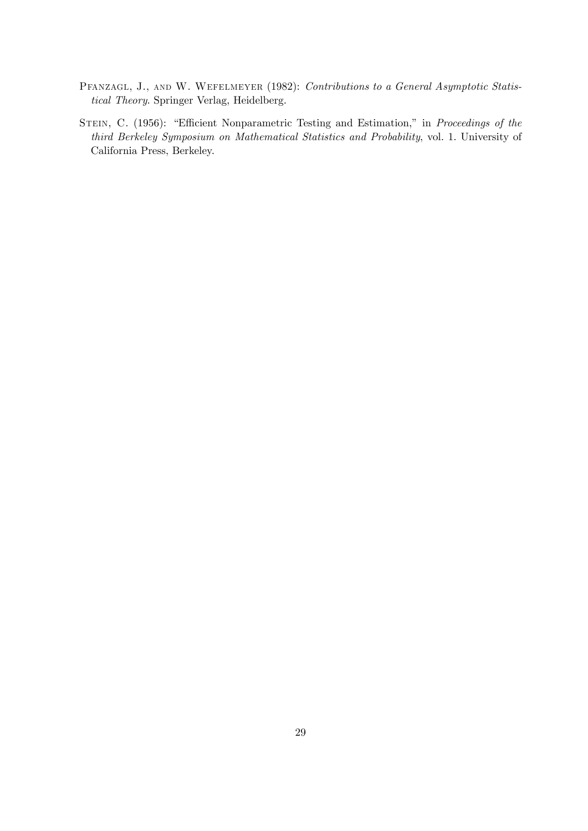- PFANZAGL, J., AND W. WEFELMEYER (1982): Contributions to a General Asymptotic Statistical Theory. Springer Verlag, Heidelberg.
- STEIN, C. (1956): "Efficient Nonparametric Testing and Estimation," in Proceedings of the third Berkeley Symposium on Mathematical Statistics and Probability, vol. 1. University of California Press, Berkeley.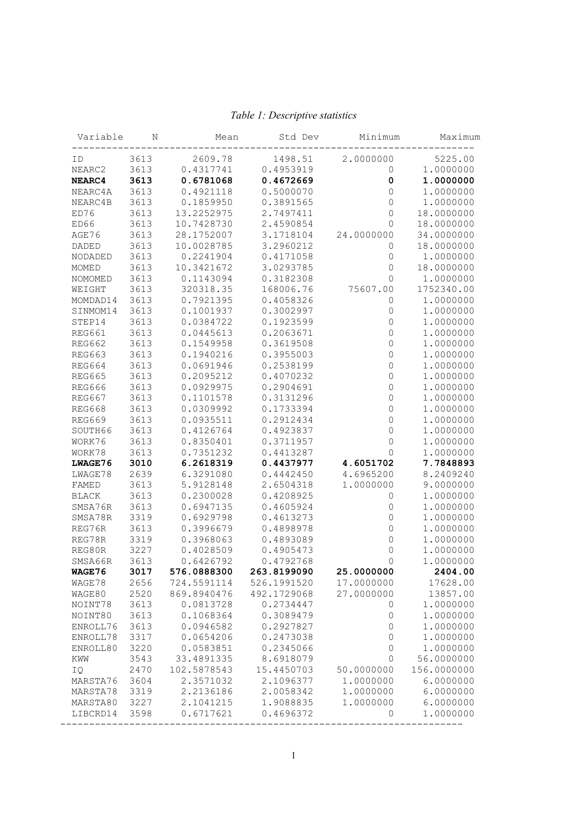| Variable       | Ν    | Mean        | Std Dev     | Minimum     | Maximum     |
|----------------|------|-------------|-------------|-------------|-------------|
| ID             | 3613 | 2609.78     | 1498.51     | 2.0000000   | 5225.00     |
| NEARC2         | 3613 | 0.4317741   | 0.4953919   | $\mathbf 0$ | 1.0000000   |
| NEARC4         | 3613 | 0.6781068   | 0.4672669   | $\pmb{0}$   | 1.0000000   |
| NEARC4A        | 3613 | 0.4921118   | 0.5000070   | $\mathbb O$ | 1.0000000   |
| NEARC4B        | 3613 | 0.1859950   | 0.3891565   | $\mathbf 0$ | 1.0000000   |
| ED76           | 3613 | 13.2252975  | 2.7497411   | $\mathbb O$ | 18.0000000  |
| ED66           | 3613 | 10.7428730  | 2.4590854   | $\mathbb O$ | 18.0000000  |
| AGE76          | 3613 | 28.1752007  | 3.1718104   | 24.0000000  | 34.0000000  |
| DADED          | 3613 | 10.0028785  | 3.2960212   | $\mathbf 0$ | 18.0000000  |
| NODADED        | 3613 | 0.2241904   | 0.4171058   | $\mathbb O$ | 1.0000000   |
| MOMED          | 3613 | 10.3421672  | 3.0293785   | $\mathbf 0$ | 18.0000000  |
| <b>NOMOMED</b> | 3613 | 0.1143094   | 0.3182308   | $\mathbf 0$ | 1.0000000   |
| WEIGHT         | 3613 | 320318.35   | 168006.76   | 75607.00    | 1752340.00  |
| MOMDAD14       | 3613 | 0.7921395   | 0.4058326   | $\mathbf 0$ | 1.0000000   |
| SINMOM14       | 3613 | 0.1001937   | 0.3002997   | $\mathbb O$ | 1.0000000   |
| STEP14         | 3613 | 0.0384722   | 0.1923599   | $\mathbb O$ | 1.0000000   |
| <b>REG661</b>  | 3613 | 0.0445613   | 0.2063671   | $\mathbb O$ | 1.0000000   |
| <b>REG662</b>  | 3613 | 0.1549958   | 0.3619508   | $\mathbb O$ | 1.0000000   |
| <b>REG663</b>  | 3613 | 0.1940216   | 0.3955003   | $\mathbb O$ | 1.0000000   |
| <b>REG664</b>  | 3613 | 0.0691946   | 0.2538199   | $\mathbb O$ | 1.0000000   |
| <b>REG665</b>  | 3613 | 0.2095212   | 0.4070232   | $\mathbb O$ | 1.0000000   |
| <b>REG666</b>  | 3613 | 0.0929975   | 0.2904691   | $\mathbb O$ | 1.0000000   |
| <b>REG667</b>  | 3613 | 0.1101578   | 0.3131296   | $\mathbb O$ | 1.0000000   |
| <b>REG668</b>  | 3613 | 0.0309992   | 0.1733394   | $\mathbb O$ | 1.0000000   |
| <b>REG669</b>  | 3613 | 0.0935511   | 0.2912434   | $\mathbb O$ | 1.0000000   |
| SOUTH66        | 3613 | 0.4126764   | 0.4923837   | $\mathbb O$ | 1.0000000   |
| WORK76         | 3613 | 0.8350401   | 0.3711957   | $\mathbb O$ | 1.0000000   |
| WORK78         | 3613 | 0.7351232   | 0.4413287   | $\mathbf 0$ | 1.0000000   |
| LWAGE76        | 3010 | 6.2618319   | 0.4437977   | 4.6051702   | 7.7848893   |
| LWAGE78        | 2639 | 6.3291080   | 0.4442450   | 4.6965200   | 8.2409240   |
| FAMED          | 3613 | 5.9128148   | 2.6504318   | 1.0000000   | 9.0000000   |
| BLACK          | 3613 | 0.2300028   | 0.4208925   | 0           | 1.0000000   |
| SMSA76R        | 3613 | 0.6947135   | 0.4605924   | $\mathbf 0$ | 1.0000000   |
| SMSA78R        | 3319 | 0.6929798   | 0.4613273   | $\mathbb O$ | 1.0000000   |
| REG76R         | 3613 | 0.3996679   | 0.4898978   | $\mathbb O$ | 1,0000000   |
| REG78R         | 3319 | 0.3968063   | 0.4893089   | $\mathbb O$ | 1.0000000   |
| REG80R         | 3227 | 0.4028509   | 0.4905473   | $\mathbb O$ | 1.0000000   |
| SMSA66R        | 3613 | 0.6426792   | 0.4792768   | 0           | 1.0000000   |
| WAGE76         | 3017 | 576.0888300 | 263.8199090 | 25.0000000  | 2404.00     |
| WAGE78         | 2656 | 724.5591114 | 526.1991520 | 17.0000000  | 17628.00    |
| WAGE80         | 2520 | 869.8940476 | 492.1729068 | 27.0000000  | 13857.00    |
| NOINT78        | 3613 | 0.0813728   | 0.2734447   | 0           | 1.0000000   |
| NOINT80        | 3613 | 0.1068364   | 0.3089479   | 0           | 1.0000000   |
| ENROLL76       | 3613 | 0.0946582   | 0.2927827   | 0           | 1,0000000   |
| ENROLL78       | 3317 | 0.0654206   | 0.2473038   | 0           | 1.0000000   |
| ENROLL80       | 3220 | 0.0583851   | 0.2345066   | 0           | 1.0000000   |
| KWW            | 3543 | 33.4891335  | 8.6918079   | 0           | 56.0000000  |
| IQ             | 2470 | 102.5878543 | 15.4450703  | 50.0000000  | 156.0000000 |
| MARSTA76       | 3604 | 2.3571032   | 2.1096377   | 1.0000000   | 6.0000000   |
| MARSTA78       | 3319 | 2.2136186   | 2.0058342   | 1.0000000   | 6.0000000   |
|                |      |             |             |             |             |
| MARSTA80       | 3227 | 2.1041215   | 1.9088835   | 1.0000000   | 6.0000000   |

## Table 1: Descriptive statistics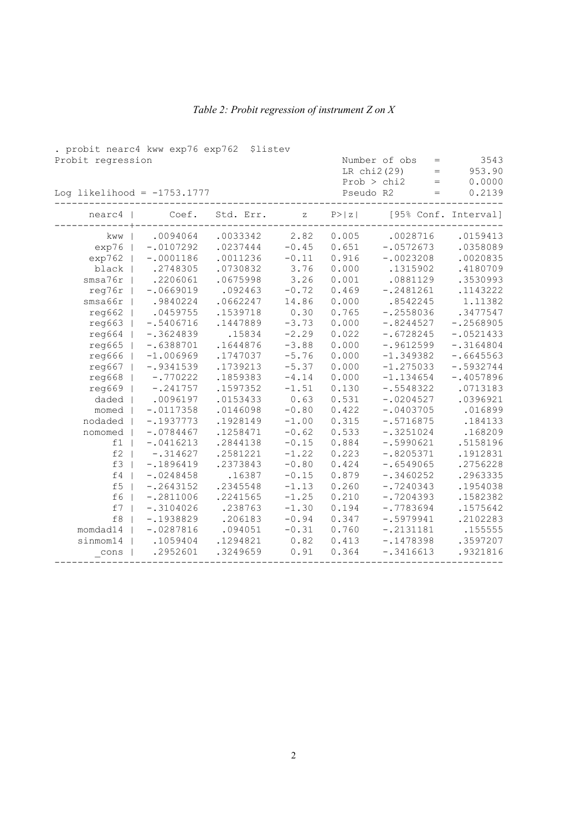| . probit nearc4 kww exp76 exp762 \$listev |             |           |                                                       |        |                                                                  |                          |
|-------------------------------------------|-------------|-----------|-------------------------------------------------------|--------|------------------------------------------------------------------|--------------------------|
| Probit regression                         |             |           |                                                       |        | Number of obs<br>$=$<br>LR chi2(29)<br>$=$<br>Prob > chi2<br>$=$ | 3543<br>953.90<br>0.0000 |
| Log likelihood = $-1753.1777$             | Pseudo R2   | $=$       | 0.2139                                                |        |                                                                  |                          |
| nearc4                                    | Coef.       | Std. Err. | $\mathbf{Z}% ^{T}=\mathbf{Z}^{T}\times\mathbf{Z}^{T}$ | P >  z | [95% Conf. Interval]                                             |                          |
| kww                                       | .0094064    | .0033342  | 2.82                                                  | 0.005  | .0028716                                                         | .0159413                 |
| exp76                                     | $-.0107292$ | .0237444  | $-0.45$                                               | 0.651  | $-.0572673$                                                      | .0358089                 |
| exp762                                    | $-.0001186$ | .0011236  | $-0.11$                                               | 0.916  | $-.0023208$                                                      | .0020835                 |
| black                                     | .2748305    | .0730832  | 3.76                                                  | 0.000  | .1315902                                                         | .4180709                 |
| smsa76r                                   | .2206061    | .0675998  | 3.26                                                  | 0.001  | .0881129                                                         | .3530993                 |
| reg76r                                    | $-.0669019$ | .092463   | $-0.72$                                               | 0.469  | $-.2481261$                                                      | .1143222                 |
| smsa66r                                   | .9840224    | .0662247  | 14.86                                                 | 0.000  | .8542245                                                         | 1.11382                  |
| req662                                    | .0459755    | .1539718  | 0.30                                                  | 0.765  | $-.2558036$                                                      | .3477547                 |
| req663                                    | $-.5406716$ | .1447889  | $-3.73$                                               | 0.000  | $-.8244527$                                                      | $-.2568905$              |
| req664                                    | $-.3624839$ | .15834    | $-2.29$                                               | 0.022  | $-.6728245$                                                      | $-.0521433$              |
| req665                                    | $-.6388701$ | .1644876  | $-3.88$                                               | 0.000  | $-.9612599$                                                      | $-.3164804$              |
| reg666                                    | $-1.006969$ | .1747037  | $-5.76$                                               | 0.000  | $-1.349382$                                                      | $-.6645563$              |
| req667                                    | $-.9341539$ | .1739213  | $-5.37$                                               | 0.000  | $-1.275033$                                                      | $-.5932744$              |
| reg668                                    | $-.770222$  | .1859383  | $-4.14$                                               | 0.000  | $-1.134654$                                                      | $-.4057896$              |
| reg669                                    | $-.241757$  | .1597352  | $-1.51$                                               | 0.130  | $-.5548322$                                                      | .0713183                 |
| daded                                     | .0096197    | .0153433  | 0.63                                                  | 0.531  | $-.0204527$                                                      | .0396921                 |
| momed                                     | $-.0117358$ | .0146098  | $-0.80$                                               | 0.422  | $-.0403705$                                                      | .016899                  |
| nodaded                                   | $-.1937773$ | .1928149  | $-1.00$                                               | 0.315  | $-.5716875$                                                      | .184133                  |
| nomomed                                   | $-.0784467$ | .1258471  | $-0.62$                                               | 0.533  | $-.3251024$                                                      | .168209                  |
| f1                                        | $-.0416213$ | .2844138  | $-0.15$                                               | 0.884  | $-.5990621$                                                      | .5158196                 |
| $\mathtt{f2}$                             | $-.314627$  | .2581221  | $-1.22$                                               | 0.223  | $-.8205371$                                                      | .1912831                 |
| f3                                        | $-.1896419$ | .2373843  | $-0.80$                                               | 0.424  | $-.6549065$                                                      | .2756228                 |
| £4                                        | $-.0248458$ | .16387    | $-0.15$                                               | 0.879  | $-.3460252$                                                      | .2963335                 |
| f <sub>5</sub>                            | $-.2643152$ | .2345548  | $-1.13$                                               | 0.260  | $-.7240343$                                                      | .1954038                 |
| f6                                        | $-.2811006$ | .2241565  | $-1.25$                                               | 0.210  | $-.7204393$                                                      | .1582382                 |
| f7                                        | $-.3104026$ | .238763   | $-1.30$                                               | 0.194  | $-.7783694$                                                      | .1575642                 |
| f8                                        | $-.1938829$ | .206183   | $-0.94$                                               | 0.347  | $-.5979941$                                                      | .2102283                 |
| momdad14                                  | $-.0287816$ | .094051   | $-0.31$                                               | 0.760  | $-.2131181$                                                      | .155555                  |
| sinmom14                                  | .1059404    | .1294821  | 0.82                                                  | 0.413  | $-.1478398$                                                      | .3597207                 |
| cons                                      | .2952601    | .3249659  | 0.91                                                  | 0.364  | $-.3416613$                                                      | .9321816                 |

## Table 2: Probit regression of instrument Z on X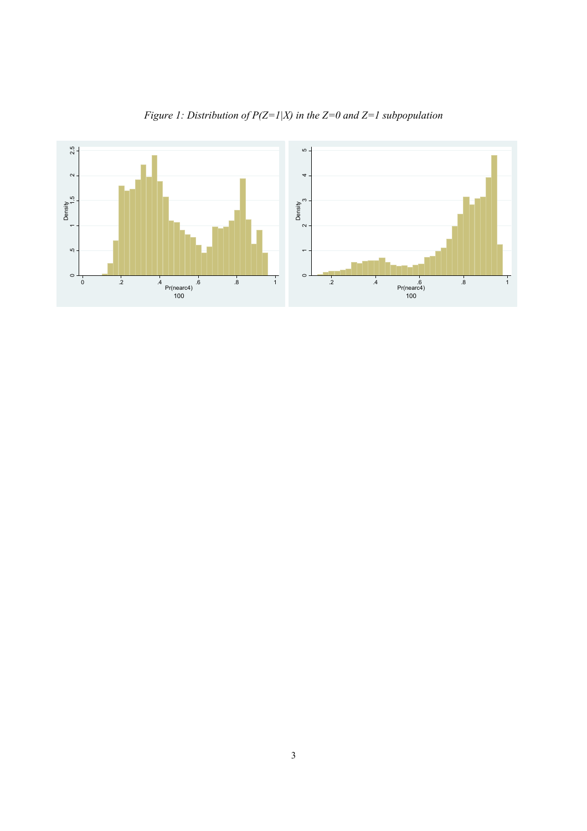

Figure 1: Distribution of  $P(Z=1|X)$  in the  $Z=0$  and  $Z=1$  subpopulation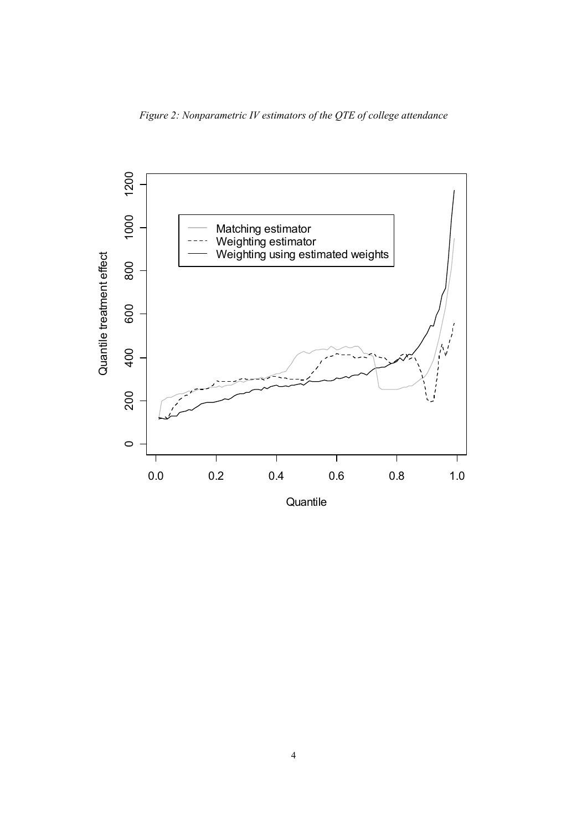Figure 2: Nonparametric IV estimators of the QTE of college attendance



**Quantile**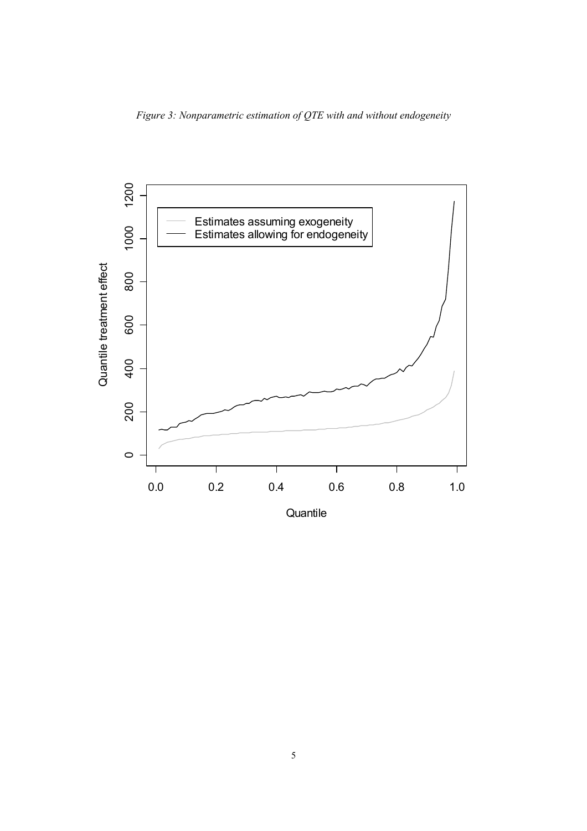Figure 3: Nonparametric estimation of QTE with and without endogeneity



**Quantile**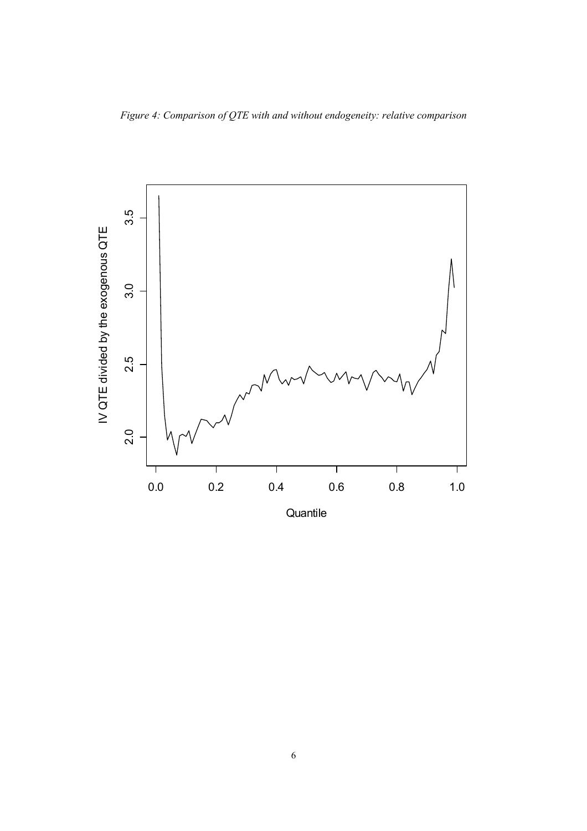Figure 4: Comparison of QTE with and without endogeneity: relative comparison



**Quantile**